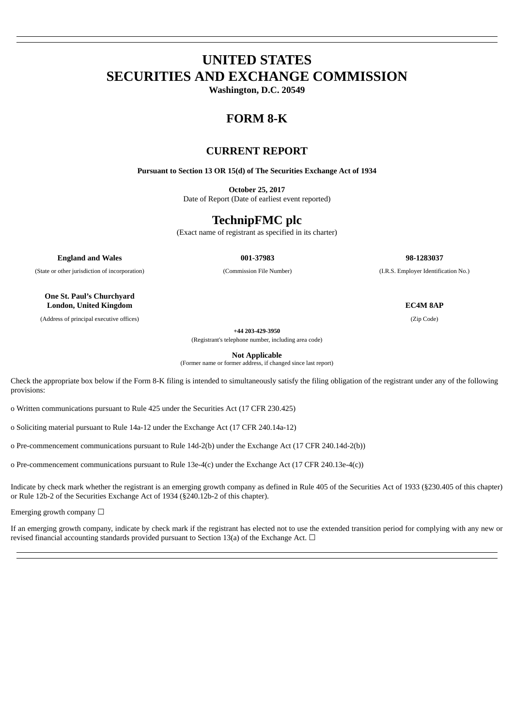# **UNITED STATES SECURITIES AND EXCHANGE COMMISSION**

**Washington, D.C. 20549**

## **FORM 8-K**

### **CURRENT REPORT**

**Pursuant to Section 13 OR 15(d) of The Securities Exchange Act of 1934**

**October 25, 2017**

Date of Report (Date of earliest event reported)

## **TechnipFMC plc**

(Exact name of registrant as specified in its charter)

**England and Wales 001-37983 98-1283037**

(State or other jurisdiction of incorporation) (Commission File Number) (I.R.S. Employer Identification No.)

**One St. Paul's Churchyard London, United Kingdom EC4M 8AP**

(Address of principal executive offices) (Zip Code)

**+44 203-429-3950**

(Registrant's telephone number, including area code)

**Not Applicable**

(Former name or former address, if changed since last report)

Check the appropriate box below if the Form 8-K filing is intended to simultaneously satisfy the filing obligation of the registrant under any of the following provisions:

o Written communications pursuant to Rule 425 under the Securities Act (17 CFR 230.425)

o Soliciting material pursuant to Rule 14a-12 under the Exchange Act (17 CFR 240.14a-12)

o Pre-commencement communications pursuant to Rule 14d-2(b) under the Exchange Act (17 CFR 240.14d-2(b))

o Pre-commencement communications pursuant to Rule 13e-4(c) under the Exchange Act (17 CFR 240.13e-4(c))

Indicate by check mark whether the registrant is an emerging growth company as defined in Rule 405 of the Securities Act of 1933 (§230.405 of this chapter) or Rule 12b-2 of the Securities Exchange Act of 1934 (§240.12b-2 of this chapter).

Emerging growth company  $\Box$ 

If an emerging growth company, indicate by check mark if the registrant has elected not to use the extended transition period for complying with any new or revised financial accounting standards provided pursuant to Section 13(a) of the Exchange Act.  $\Box$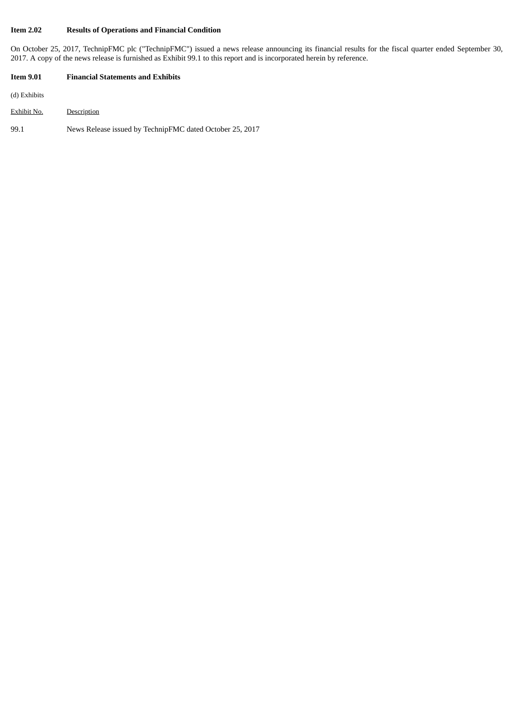### **Item 2.02 Results of Operations and Financial Condition**

On October 25, 2017, TechnipFMC plc ("TechnipFMC") issued a news release announcing its financial results for the fiscal quarter ended September 30, 2017. A copy of the news release is furnished as Exhibit 99.1 to this report and is incorporated herein by reference.

#### **Item 9.01 Financial Statements and Exhibits**

(d) Exhibits

- Exhibit No. Description
- 99.1 News Release issued by TechnipFMC dated October 25, 2017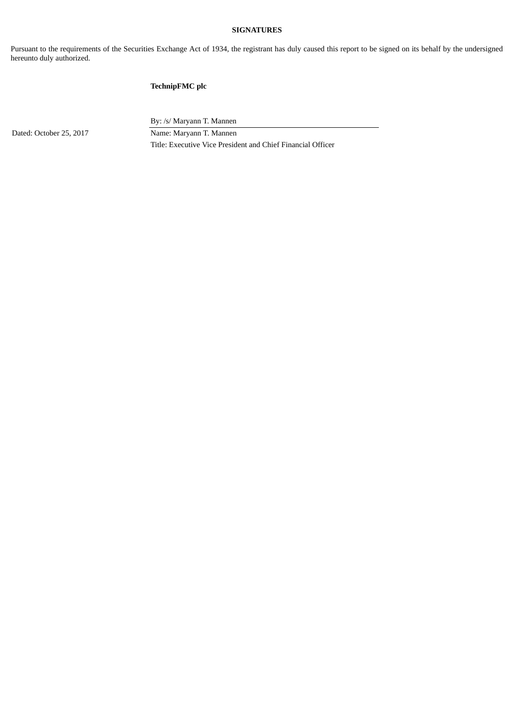#### **SIGNATURES**

Pursuant to the requirements of the Securities Exchange Act of 1934, the registrant has duly caused this report to be signed on its behalf by the undersigned hereunto duly authorized.

### **TechnipFMC plc**

Dated: October 25, 2017 Name: Maryann T. Mannen

By: /s/ Maryann T. Mannen

Title: Executive Vice President and Chief Financial Officer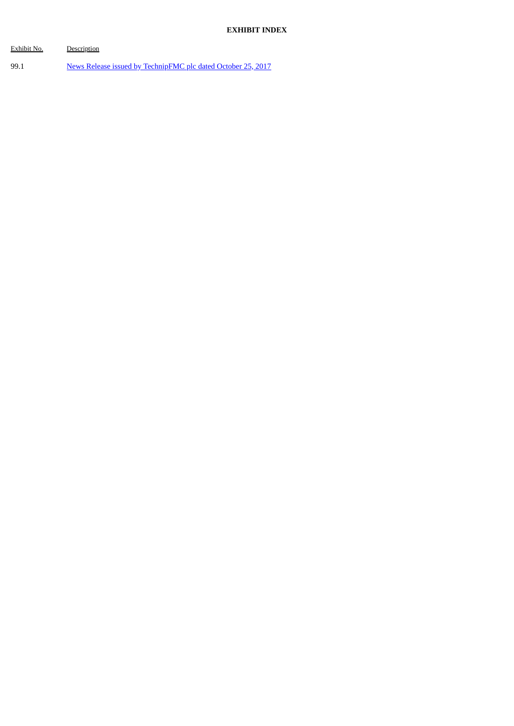| Exhibit No. | Description                                                  |
|-------------|--------------------------------------------------------------|
| 99.1        | News Release issued by TechnipFMC plc dated October 25, 2017 |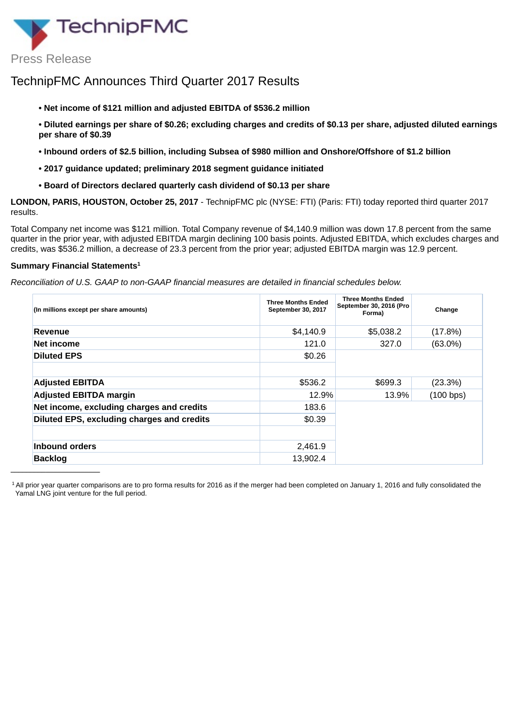<span id="page-4-0"></span>

## TechnipFMC Announces Third Quarter 2017 Results

- **• Net income of \$121 million and adjusted EBITDA of \$536.2 million**
- Diluted earnings per share of \$0.26; excluding charges and credits of \$0.13 per share, adjusted diluted earnings **per share of \$0.39**
- **• Inbound orders of \$2.5 billion, including Subsea of \$980 million and Onshore/Offshore of \$1.2 billion**
- **• 2017 guidance updated; preliminary 2018 segment guidance initiated**
- **• Board of Directors declared quarterly cash dividend of \$0.13 per share**

**LONDON, PARIS, HOUSTON, October 25, 2017** - TechnipFMC plc (NYSE: FTI) (Paris: FTI) today reported third quarter 2017 results.

Total Company net income was \$121 million. Total Company revenue of \$4,140.9 million was down 17.8 percent from the same quarter in the prior year, with adjusted EBITDA margin declining 100 basis points. Adjusted EBITDA, which excludes charges and credits, was \$536.2 million, a decrease of 23.3 percent from the prior year; adjusted EBITDA margin was 12.9 percent.

#### **Summary Financial Statements 1**

*Reconciliation of U.S. GAAP to non-GAAP financial measures are detailed in financial schedules below.*

| (In millions except per share amounts)     | <b>Three Months Ended</b><br>September 30, 2017 | <b>Three Months Ended</b><br>September 30, 2016 (Pro<br>Forma) | Change     |
|--------------------------------------------|-------------------------------------------------|----------------------------------------------------------------|------------|
| Revenue                                    | \$4,140.9                                       | \$5,038.2                                                      | (17.8%)    |
| Net income                                 | 121.0                                           | 327.0                                                          | $(63.0\%)$ |
| <b>Diluted EPS</b>                         | \$0.26                                          |                                                                |            |
| <b>Adjusted EBITDA</b>                     | \$536.2                                         | \$699.3                                                        | $(23.3\%)$ |
| <b>Adjusted EBITDA margin</b>              | 12.9%                                           | 13.9%                                                          | (100 bps)  |
| Net income, excluding charges and credits  | 183.6                                           |                                                                |            |
| Diluted EPS, excluding charges and credits | \$0.39                                          |                                                                |            |
| Inbound orders                             | 2,461.9                                         |                                                                |            |
| <b>Backlog</b>                             | 13.902.4                                        |                                                                |            |

<sup>1</sup> All prior year quarter comparisons are to pro forma results for 2016 as if the merger had been completed on January 1, 2016 and fully consolidated the Yamal LNG joint venture for the full period.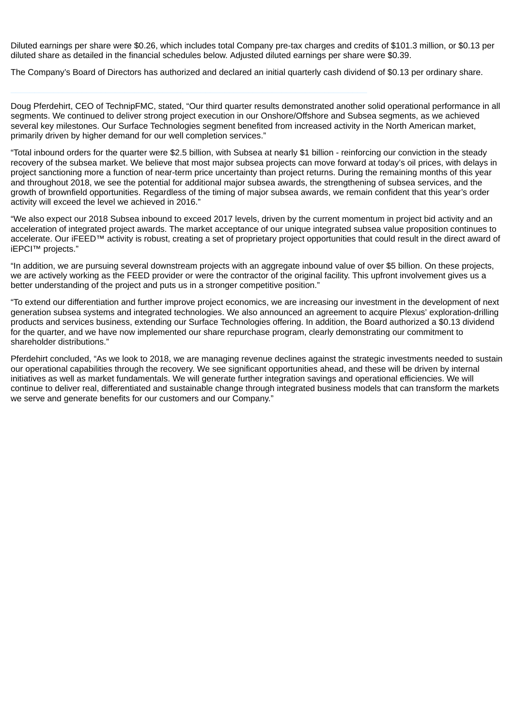Diluted earnings per share were \$0.26, which includes total Company pre-tax charges and credits of \$101.3 million, or \$0.13 per diluted share as detailed in the financial schedules below. Adjusted diluted earnings per share were \$0.39.

The Company's Board of Directors has authorized and declared an initial quarterly cash dividend of \$0.13 per ordinary share.

Doug Pferdehirt, CEO of TechnipFMC, stated, "Our third quarter results demonstrated another solid operational performance in all segments. We continued to deliver strong project execution in our Onshore/Offshore and Subsea segments, as we achieved several key milestones. Our Surface Technologies segment benefited from increased activity in the North American market, primarily driven by higher demand for our well completion services."

"Total inbound orders for the quarter were \$2.5 billion, with Subsea at nearly \$1 billion - reinforcing our conviction in the steady recovery of the subsea market. We believe that most major subsea projects can move forward at today's oil prices, with delays in project sanctioning more a function of near-term price uncertainty than project returns. During the remaining months of this year and throughout 2018, we see the potential for additional major subsea awards, the strengthening of subsea services, and the growth of brownfield opportunities. Regardless of the timing of major subsea awards, we remain confident that this year's order activity will exceed the level we achieved in 2016."

"We also expect our 2018 Subsea inbound to exceed 2017 levels, driven by the current momentum in project bid activity and an acceleration of integrated project awards. The market acceptance of our unique integrated subsea value proposition continues to accelerate. Our iFEED™ activity is robust, creating a set of proprietary project opportunities that could result in the direct award of iEPCI™ projects."

"In addition, we are pursuing several downstream projects with an aggregate inbound value of over \$5 billion. On these projects, we are actively working as the FEED provider or were the contractor of the original facility. This upfront involvement gives us a better understanding of the project and puts us in a stronger competitive position."

"To extend our differentiation and further improve project economics, we are increasing our investment in the development of next generation subsea systems and integrated technologies. We also announced an agreement to acquire Plexus' exploration-drilling products and services business, extending our Surface Technologies offering. In addition, the Board authorized a \$0.13 dividend for the quarter, and we have now implemented our share repurchase program, clearly demonstrating our commitment to shareholder distributions."

Pferdehirt concluded, "As we look to 2018, we are managing revenue declines against the strategic investments needed to sustain our operational capabilities through the recovery. We see significant opportunities ahead, and these will be driven by internal initiatives as well as market fundamentals. We will generate further integration savings and operational efficiencies. We will continue to deliver real, differentiated and sustainable change through integrated business models that can transform the markets we serve and generate benefits for our customers and our Company."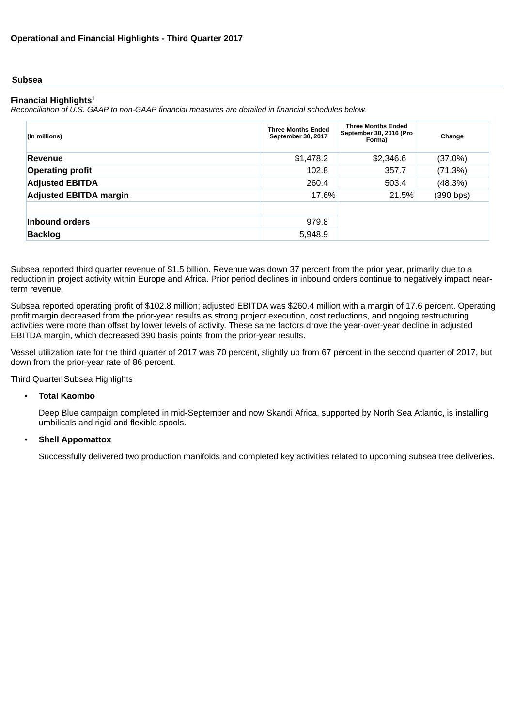#### **Subsea**

#### **Financial Highlights** 1

*Reconciliation of U.S. GAAP to non-GAAP financial measures are detailed in financial schedules below.*

| (In millions)                 | <b>Three Months Ended</b><br>September 30, 2017 | <b>Three Months Ended</b><br>September 30, 2016 (Pro<br>Forma) |           |  |  |
|-------------------------------|-------------------------------------------------|----------------------------------------------------------------|-----------|--|--|
| Revenue                       | \$1,478.2                                       | \$2,346.6                                                      | (37.0%)   |  |  |
| <b>Operating profit</b>       | 102.8                                           | 357.7                                                          | (71.3%)   |  |  |
| <b>Adjusted EBITDA</b>        | 260.4                                           | 503.4                                                          | (48.3%)   |  |  |
| <b>Adjusted EBITDA margin</b> | 17.6%                                           | 21.5%                                                          | (390 bps) |  |  |
|                               |                                                 |                                                                |           |  |  |
| Inbound orders                | 979.8                                           |                                                                |           |  |  |
| <b>Backlog</b>                | 5,948.9                                         |                                                                |           |  |  |

Subsea reported third quarter revenue of \$1.5 billion. Revenue was down 37 percent from the prior year, primarily due to a reduction in project activity within Europe and Africa. Prior period declines in inbound orders continue to negatively impact nearterm revenue.

Subsea reported operating profit of \$102.8 million; adjusted EBITDA was \$260.4 million with a margin of 17.6 percent. Operating profit margin decreased from the prior-year results as strong project execution, cost reductions, and ongoing restructuring activities were more than offset by lower levels of activity. These same factors drove the year-over-year decline in adjusted EBITDA margin, which decreased 390 basis points from the prior-year results.

Vessel utilization rate for the third quarter of 2017 was 70 percent, slightly up from 67 percent in the second quarter of 2017, but down from the prior-year rate of 86 percent.

Third Quarter Subsea Highlights

#### • **Total Kaombo**

Deep Blue campaign completed in mid-September and now Skandi Africa, supported by North Sea Atlantic, is installing umbilicals and rigid and flexible spools.

#### • **Shell Appomattox**

Successfully delivered two production manifolds and completed key activities related to upcoming subsea tree deliveries.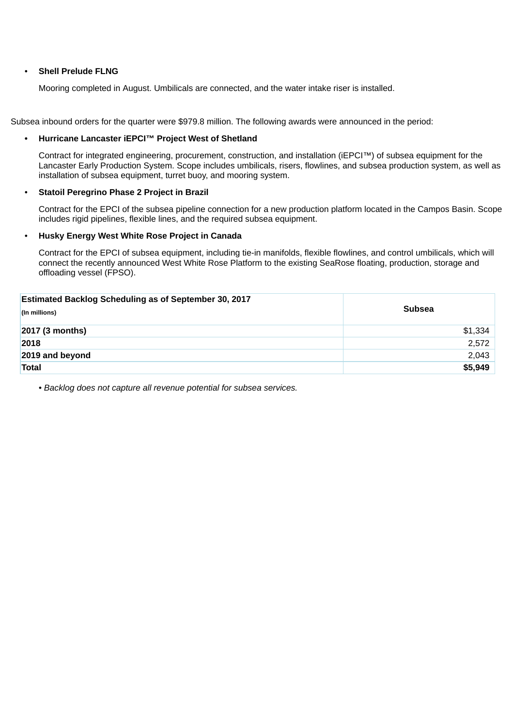#### • **Shell Prelude FLNG**

Mooring completed in August. Umbilicals are connected, and the water intake riser is installed.

Subsea inbound orders for the quarter were \$979.8 million. The following awards were announced in the period:

#### **• Hurricane Lancaster iEPCI™ Project West of Shetland**

Contract for integrated engineering, procurement, construction, and installation (iEPCI™) of subsea equipment for the Lancaster Early Production System. Scope includes umbilicals, risers, flowlines, and subsea production system, as well as installation of subsea equipment, turret buoy, and mooring system.

#### • **Statoil Peregrino Phase 2 Project in Brazil**

Contract for the EPCI of the subsea pipeline connection for a new production platform located in the Campos Basin. Scope includes rigid pipelines, flexible lines, and the required subsea equipment.

#### • **Husky Energy West White Rose Project in Canada**

Contract for the EPCI of subsea equipment, including tie-in manifolds, flexible flowlines, and control umbilicals, which will connect the recently announced West White Rose Platform to the existing SeaRose floating, production, storage and offloading vessel (FPSO).

| Estimated Backlog Scheduling as of September 30, 2017<br>(In millions) | <b>Subsea</b> |
|------------------------------------------------------------------------|---------------|
| 2017 (3 months)                                                        | \$1,334       |
| 2018                                                                   | 2,572         |
| 2019 and beyond                                                        | 2,043         |
| Total                                                                  | \$5,949       |

*• Backlog does not capture all revenue potential for subsea services.*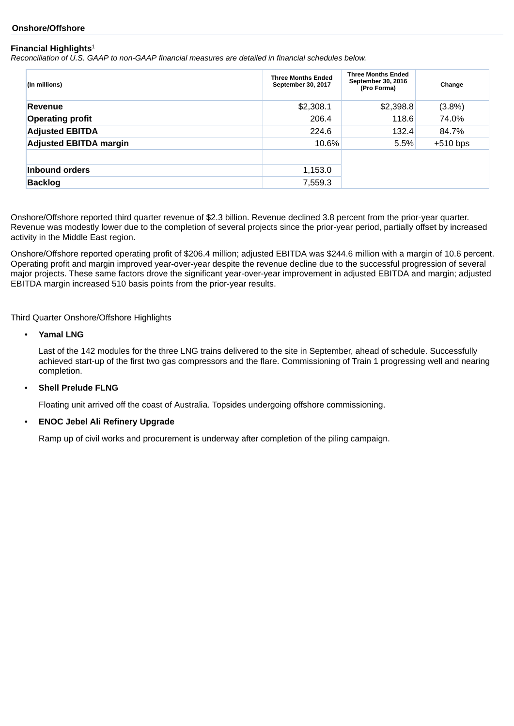#### **Onshore/Offshore**

#### **Financial Highlights** 1

*Reconciliation of U.S. GAAP to non-GAAP financial measures are detailed in financial schedules below.*

| (In millions)                 | <b>Three Months Ended</b><br>September 30, 2017 | <b>Three Months Ended</b><br>September 30, 2016<br>(Pro Forma) | Change     |
|-------------------------------|-------------------------------------------------|----------------------------------------------------------------|------------|
| Revenue                       | \$2,308.1                                       | \$2,398.8                                                      | $(3.8\%)$  |
| <b>Operating profit</b>       | 206.4                                           | 118.6                                                          | 74.0%      |
| <b>Adjusted EBITDA</b>        | 224.6                                           | 132.4                                                          | 84.7%      |
| <b>Adjusted EBITDA margin</b> | 10.6%                                           | 5.5%                                                           | $+510$ bps |
|                               |                                                 |                                                                |            |
| <b>Inbound orders</b>         | 1,153.0                                         |                                                                |            |
| <b>Backlog</b>                | 7,559.3                                         |                                                                |            |

Onshore/Offshore reported third quarter revenue of \$2.3 billion. Revenue declined 3.8 percent from the prior-year quarter. Revenue was modestly lower due to the completion of several projects since the prior-year period, partially offset by increased activity in the Middle East region.

Onshore/Offshore reported operating profit of \$206.4 million; adjusted EBITDA was \$244.6 million with a margin of 10.6 percent. Operating profit and margin improved year-over-year despite the revenue decline due to the successful progression of several major projects. These same factors drove the significant year-over-year improvement in adjusted EBITDA and margin; adjusted EBITDA margin increased 510 basis points from the prior-year results.

Third Quarter Onshore/Offshore Highlights

• **Yamal LNG**

Last of the 142 modules for the three LNG trains delivered to the site in September, ahead of schedule. Successfully achieved start-up of the first two gas compressors and the flare. Commissioning of Train 1 progressing well and nearing completion.

#### • **Shell Prelude FLNG**

Floating unit arrived off the coast of Australia. Topsides undergoing offshore commissioning.

#### • **ENOC Jebel Ali Refinery Upgrade**

Ramp up of civil works and procurement is underway after completion of the piling campaign.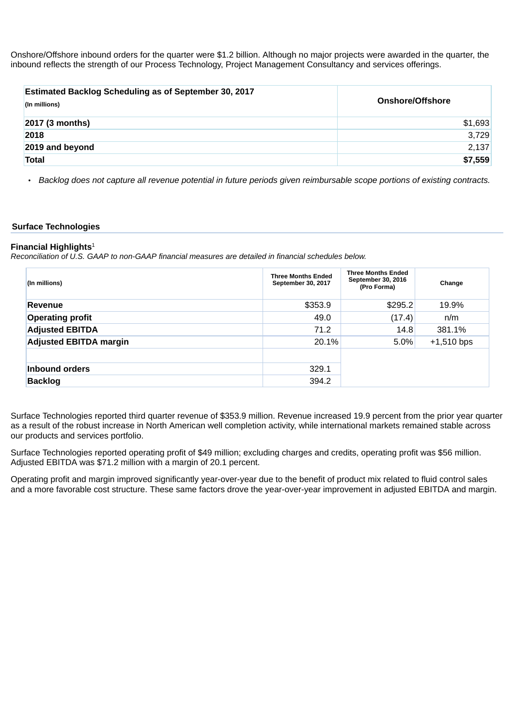Onshore/Offshore inbound orders for the quarter were \$1.2 billion. Although no major projects were awarded in the quarter, the inbound reflects the strength of our Process Technology, Project Management Consultancy and services offerings.

| <b>Estimated Backlog Scheduling as of September 30, 2017</b><br>(In millions) | <b>Onshore/Offshore</b> |
|-------------------------------------------------------------------------------|-------------------------|
| $2017$ (3 months)                                                             | \$1,693                 |
| 2018                                                                          | 3,729                   |
| 2019 and beyond                                                               | 2,137                   |
| <b>Total</b>                                                                  | \$7,559                 |

Backlog does not capture all revenue potential in future periods given reimbursable scope portions of existing contracts.

#### **Surface Technologies**

#### **Financial Highlights** 1

*Reconciliation of U.S. GAAP to non-GAAP financial measures are detailed in financial schedules below.*

| (In millions)                 | <b>Three Months Ended</b><br>September 30, 2017 | <b>Three Months Ended</b><br>September 30, 2016<br>(Pro Forma) | Change       |
|-------------------------------|-------------------------------------------------|----------------------------------------------------------------|--------------|
| Revenue                       | \$353.9                                         | \$295.2                                                        | 19.9%        |
| <b>Operating profit</b>       | 49.0                                            | (17.4)                                                         | n/m          |
| <b>Adjusted EBITDA</b>        | 71.2                                            | 14.8                                                           | 381.1%       |
| <b>Adjusted EBITDA margin</b> | 20.1%                                           | 5.0%                                                           | $+1,510$ bps |
|                               |                                                 |                                                                |              |
| <b>Inbound orders</b>         | 329.1                                           |                                                                |              |
| <b>Backlog</b>                | 394.2                                           |                                                                |              |

Surface Technologies reported third quarter revenue of \$353.9 million. Revenue increased 19.9 percent from the prior year quarter as a result of the robust increase in North American well completion activity, while international markets remained stable across our products and services portfolio.

Surface Technologies reported operating profit of \$49 million; excluding charges and credits, operating profit was \$56 million. Adjusted EBITDA was \$71.2 million with a margin of 20.1 percent.

Operating profit and margin improved significantly year-over-year due to the benefit of product mix related to fluid control sales and a more favorable cost structure. These same factors drove the year-over-year improvement in adjusted EBITDA and margin.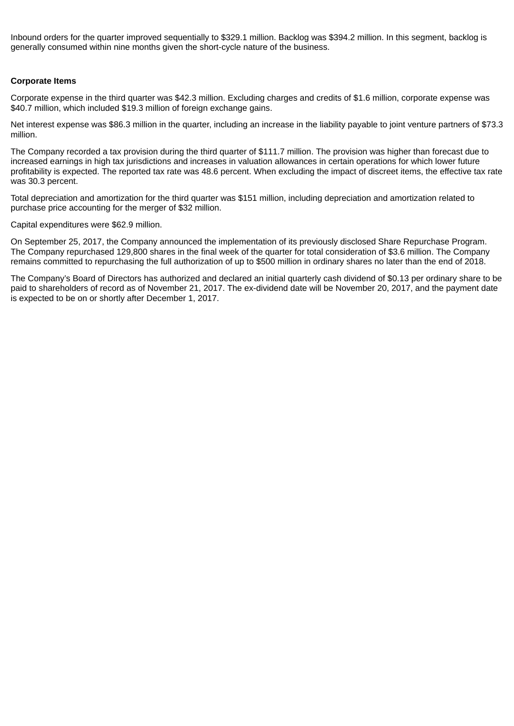Inbound orders for the quarter improved sequentially to \$329.1 million. Backlog was \$394.2 million. In this segment, backlog is generally consumed within nine months given the short-cycle nature of the business.

#### **Corporate Items**

Corporate expense in the third quarter was \$42.3 million. Excluding charges and credits of \$1.6 million, corporate expense was \$40.7 million, which included \$19.3 million of foreign exchange gains.

Net interest expense was \$86.3 million in the quarter, including an increase in the liability payable to joint venture partners of \$73.3 million.

The Company recorded a tax provision during the third quarter of \$111.7 million. The provision was higher than forecast due to increased earnings in high tax jurisdictions and increases in valuation allowances in certain operations for which lower future profitability is expected. The reported tax rate was 48.6 percent. When excluding the impact of discreet items, the effective tax rate was 30.3 percent.

Total depreciation and amortization for the third quarter was \$151 million, including depreciation and amortization related to purchase price accounting for the merger of \$32 million.

Capital expenditures were \$62.9 million.

On September 25, 2017, the Company announced the implementation of its previously disclosed Share Repurchase Program. The Company repurchased 129,800 shares in the final week of the quarter for total consideration of \$3.6 million. The Company remains committed to repurchasing the full authorization of up to \$500 million in ordinary shares no later than the end of 2018.

The Company's Board of Directors has authorized and declared an initial quarterly cash dividend of \$0.13 per ordinary share to be paid to shareholders of record as of November 21, 2017. The ex-dividend date will be November 20, 2017, and the payment date is expected to be on or shortly after December 1, 2017.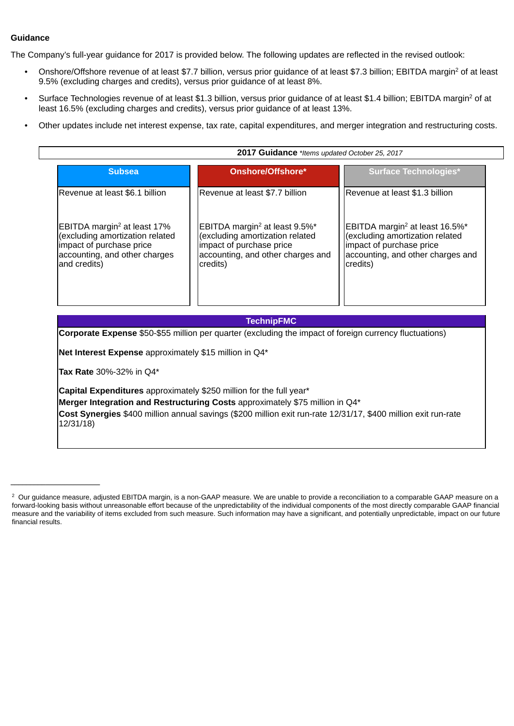#### **Guidance**

The Company's full-year guidance for 2017 is provided below. The following updates are reflected in the revised outlook:

- Onshore/Offshore revenue of at least \$7.7 billion, versus prior guidance of at least \$7.3 billion; EBITDA margin<sup>2</sup> of at least 9.5% (excluding charges and credits), versus prior guidance of at least 8%.
- Surface Technologies revenue of at least \$1.3 billion, versus prior guidance of at least \$1.4 billion; EBITDA margin<sup>2</sup> of at least 16.5% (excluding charges and credits), versus prior guidance of at least 13%.
- Other updates include net interest expense, tax rate, capital expenditures, and merger integration and restructuring costs.

| 2017 Guidance *Items updated October 25, 2017                                                                                                              |                                                                                                                                                           |                                                                                                                                                            |  |  |  |  |  |
|------------------------------------------------------------------------------------------------------------------------------------------------------------|-----------------------------------------------------------------------------------------------------------------------------------------------------------|------------------------------------------------------------------------------------------------------------------------------------------------------------|--|--|--|--|--|
| <b>Subsea</b>                                                                                                                                              | Onshore/Offshore*                                                                                                                                         | <b>Surface Technologies*</b>                                                                                                                               |  |  |  |  |  |
| lRevenue at least \$6.1 billion                                                                                                                            | Revenue at least \$7.7 billion                                                                                                                            | Revenue at least \$1.3 billion                                                                                                                             |  |  |  |  |  |
| EBITDA margin <sup>2</sup> at least $17\%$<br>(excluding amortization related<br>impact of purchase price<br>accounting, and other charges<br>and credits) | EBITDA margin <sup>2</sup> at least 9.5%*<br>(excluding amortization related<br>impact of purchase price<br>accounting, and other charges and<br>credits) | EBITDA margin <sup>2</sup> at least 16.5%*<br>(excluding amortization related<br>impact of purchase price<br>accounting, and other charges and<br>credits) |  |  |  |  |  |

#### **TechnipFMC**

**Corporate Expense** \$50-\$55 million per quarter (excluding the impact of foreign currency fluctuations)

**Net Interest Expense** approximately \$15 million in Q4\*

**Tax Rate** 30%-32% in Q4\*

**\_\_\_\_\_\_\_\_\_\_\_\_\_\_\_\_\_\_\_\_\_\_\_**

**Capital Expenditures** approximately \$250 million for the full year\*

**Merger Integration and Restructuring Costs** approximately \$75 million in Q4\*

**Cost Synergies** \$400 million annual savings (\$200 million exit run-rate 12/31/17, \$400 million exit run-rate 12/31/18)

 $^2$  Our guidance measure, adjusted EBITDA margin, is a non-GAAP measure. We are unable to provide a reconciliation to a comparable GAAP measure on a forward-looking basis without unreasonable effort because of the unpredictability of the individual components of the most directly comparable GAAP financial measure and the variability of items excluded from such measure. Such information may have a significant, and potentially unpredictable, impact on our future financial results.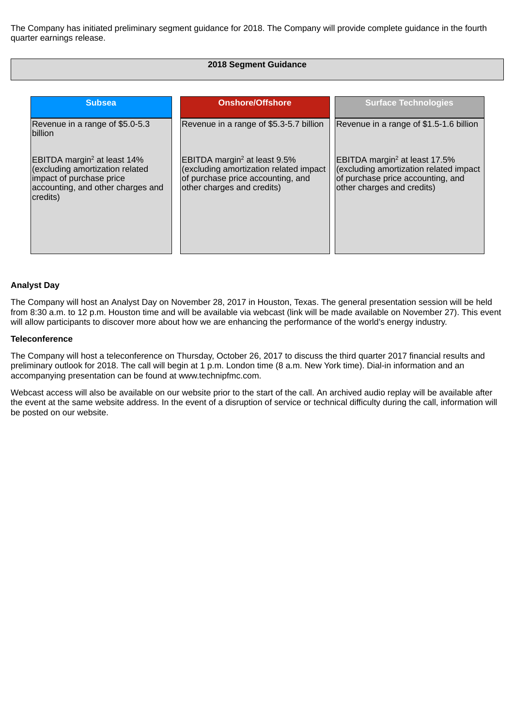The Company has initiated preliminary segment guidance for 2018. The Company will provide complete guidance in the fourth quarter earnings release.

#### **2018 Segment Guidance**

| <b>Subsea</b>                                                                                                                                           | <b>Onshore/Offshore</b>                                                                                                                                  | <b>Surface Technologies</b>                                                                                                                               |
|---------------------------------------------------------------------------------------------------------------------------------------------------------|----------------------------------------------------------------------------------------------------------------------------------------------------------|-----------------------------------------------------------------------------------------------------------------------------------------------------------|
| Revenue in a range of \$5.0-5.3<br>billion                                                                                                              | Revenue in a range of \$5.3-5.7 billion                                                                                                                  | Revenue in a range of \$1.5-1.6 billion                                                                                                                   |
| EBITDA margin <sup>2</sup> at least 14%<br>(excluding amortization related<br>impact of purchase price<br>accounting, and other charges and<br>credits) | EBITDA margin <sup>2</sup> at least $9.5\%$<br>(excluding amortization related impact<br>of purchase price accounting, and<br>other charges and credits) | EBITDA margin <sup>2</sup> at least $17.5\%$<br>(excluding amortization related impact<br>of purchase price accounting, and<br>other charges and credits) |

#### **Analyst Day**

The Company will host an Analyst Day on November 28, 2017 in Houston, Texas. The general presentation session will be held from 8:30 a.m. to 12 p.m. Houston time and will be available via webcast (link will be made available on November 27). This event will allow participants to discover more about how we are enhancing the performance of the world's energy industry.

#### **Teleconference**

The Company will host a teleconference on Thursday, October 26, 2017 to discuss the third quarter 2017 financial results and preliminary outlook for 2018. The call will begin at 1 p.m. London time (8 a.m. New York time). Dial-in information and an accompanying presentation can be found at www.technipfmc.com.

Webcast access will also be available on our website prior to the start of the call. An archived audio replay will be available after the event at the same website address. In the event of a disruption of service or technical difficulty during the call, information will be posted on our website.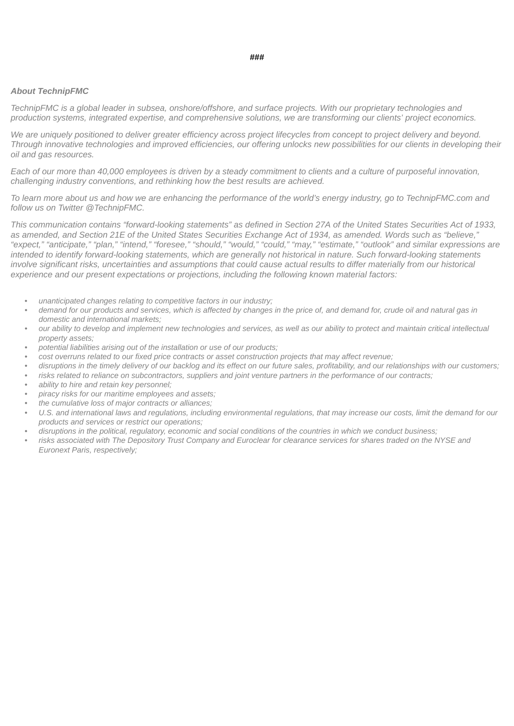#### *About TechnipFMC*

TechnipFMC is a global leader in subsea, onshore/offshore, and surface projects. With our proprietary technologies and *production systems, integrated expertise, and comprehensive solutions, we are transforming our clients' project economics.*

We are uniquely positioned to deliver greater efficiency across project lifecycles from concept to project delivery and beyond. Through innovative technologies and improved efficiencies, our offering unlocks new possibilities for our clients in developing their *oil and gas resources.*

Each of our more than 40,000 employees is driven by a steady commitment to clients and a culture of purposeful innovation, *challenging industry conventions, and rethinking how the best results are achieved.*

To learn more about us and how we are enhancing the performance of the world's energy industry, go to TechnipFMC.com and *follow us on Twitter @TechnipFMC.*

This communication contains "forward-looking statements" as defined in Section 27A of the United States Securities Act of 1933. as amended, and Section 21E of the United States Securities Exchange Act of 1934, as amended. Words such as "believe." "expect," "anticipate," "plan," "intend," "foresee," "should," "would," "could," "may," "estimate," "outlook" and similar expressions are intended to identify forward-looking statements, which are generally not historical in nature. Such forward-looking statements involve significant risks, uncertainties and assumptions that could cause actual results to differ materially from our historical *experience and our present expectations or projections, including the following known material factors:*

- *unanticipated changes relating to competitive factors in our industry;*
- demand for our products and services, which is affected by changes in the price of, and demand for, crude oil and natural gas in *domestic and international markets;*
- our ability to develop and implement new technologies and services, as well as our ability to protect and maintain critical intellectual *property assets;*
- *• potential liabilities arising out of the installation or use of our products;*
- cost overruns related to our fixed price contracts or asset construction projects that may affect revenue;
- disruptions in the timely delivery of our backlog and its effect on our future sales, profitability, and our relationships with our customers;
- risks related to reliance on subcontractors, suppliers and joint venture partners in the performance of our contracts:
- *• ability to hire and retain key personnel;*
- *• piracy risks for our maritime employees and assets;*
- *• the cumulative loss of major contracts or alliances;*
- U.S. and international laws and regulations, including environmental regulations, that may increase our costs, limit the demand for our *products and services or restrict our operations;*
- disruptions in the political, requlatory, economic and social conditions of the countries in which we conduct business:
- risks associated with The Depository Trust Company and Euroclear for clearance services for shares traded on the NYSE and *Euronext Paris, respectively;*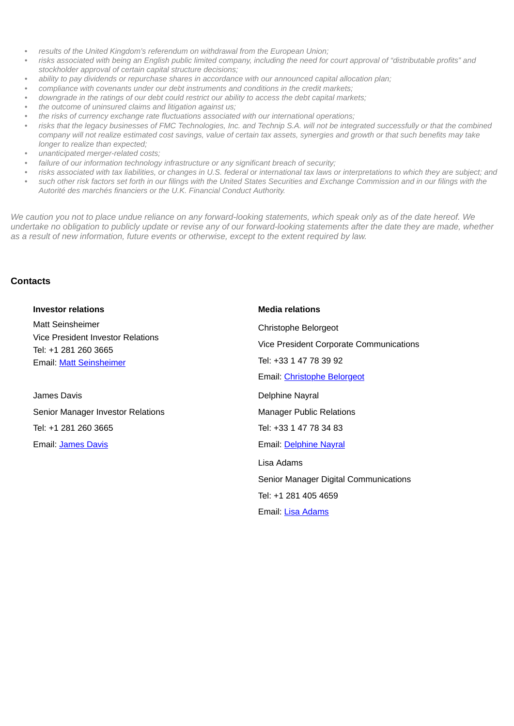- *results of the United Kingdom's referendum on withdrawal from the European Union;*
- risks associated with being an English public limited company, including the need for court approval of "distributable profits" and *stockholder approval of certain capital structure decisions;*
- *• ability to pay dividends or repurchase shares in accordance with our announced capital allocation plan;*
- *• compliance with covenants under our debt instruments and conditions in the credit markets;*
- downgrade in the ratings of our debt could restrict our ability to access the debt capital markets;
- *• the outcome of uninsured claims and litigation against us;*
- *• the risks of currency exchange rate fluctuations associated with our international operations;*
- risks that the legacy businesses of FMC Technologies, Inc. and Technip S.A. will not be integrated successfully or that the combined company will not realize estimated cost savings, value of certain tax assets, synergies and growth or that such benefits may take *longer to realize than expected;*
- *• unanticipated merger-related costs;*
- *• failure of our information technology infrastructure or any significant breach of security;*
- risks associated with tax liabilities, or changes in U.S. federal or international tax laws or interpretations to which they are subject; and
- such other risk factors set forth in our filings with the United States Securities and Exchange Commission and in our filings with the *Autorité des marchés financiers or the U.K. Financial Conduct Authority.*

We caution you not to place undue reliance on any forward-looking statements, which speak only as of the date hereof. We undertake no obligation to publicly update or revise any of our forward-looking statements after the date they are made, whether *as a result of new information, future events or otherwise, except to the extent required by law.*

#### **Contacts**

| <b>Investor relations</b>                                                                                       | <b>Media relations</b>                                                                                                   |
|-----------------------------------------------------------------------------------------------------------------|--------------------------------------------------------------------------------------------------------------------------|
| <b>Matt Seinsheimer</b><br>Vice President Investor Relations<br>Tel: +1 281 260 3665<br>Email: Matt Seinsheimer | Christophe Belorgeot<br>Vice President Corporate Communications<br>Tel: +33 1 47 78 39 92<br>Email: Christophe Belorgeot |
| James Davis<br>Senior Manager Investor Relations<br>Tel: +1 281 260 3665                                        | Delphine Nayral<br><b>Manager Public Relations</b><br>Tel: +33 1 47 78 34 83                                             |
| Email: <b>James Davis</b>                                                                                       | Email: Delphine Nayral<br>Lisa Adams                                                                                     |
|                                                                                                                 | Senior Manager Digital Communications<br>Tel: +1 281 405 4659<br>Email: Lisa Adams                                       |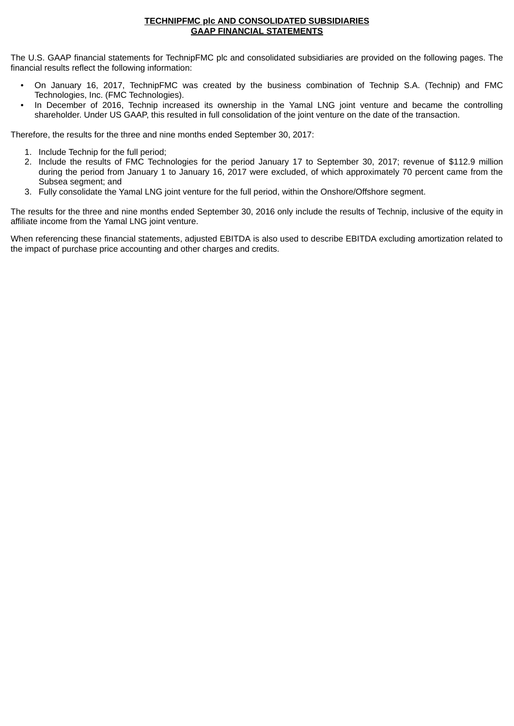#### **TECHNIPFMC plc AND CONSOLIDATED SUBSIDIARIES GAAP FINANCIAL STATEMENTS**

The U.S. GAAP financial statements for TechnipFMC plc and consolidated subsidiaries are provided on the following pages. The financial results reflect the following information:

- On January 16, 2017, TechnipFMC was created by the business combination of Technip S.A. (Technip) and FMC Technologies, Inc. (FMC Technologies).
- In December of 2016, Technip increased its ownership in the Yamal LNG joint venture and became the controlling shareholder. Under US GAAP, this resulted in full consolidation of the joint venture on the date of the transaction.

Therefore, the results for the three and nine months ended September 30, 2017:

- 1. Include Technip for the full period;
- 2. Include the results of FMC Technologies for the period January 17 to September 30, 2017; revenue of \$112.9 million during the period from January 1 to January 16, 2017 were excluded, of which approximately 70 percent came from the Subsea segment; and
- 3. Fully consolidate the Yamal LNG joint venture for the full period, within the Onshore/Offshore segment.

The results for the three and nine months ended September 30, 2016 only include the results of Technip, inclusive of the equity in affiliate income from the Yamal LNG joint venture.

When referencing these financial statements, adjusted EBITDA is also used to describe EBITDA excluding amortization related to the impact of purchase price accounting and other charges and credits.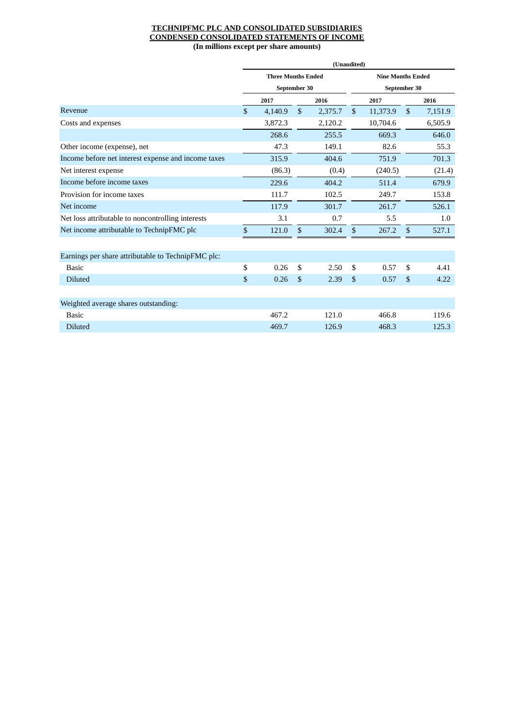#### **TECHNIPFMC PLC AND CONSOLIDATED SUBSIDIARIES CONDENSED CONSOLIDATED STATEMENTS OF INCOME (In millions except per share amounts)**

|                                                     | (Unaudited)               |              |         |              |                          |              |         |  |
|-----------------------------------------------------|---------------------------|--------------|---------|--------------|--------------------------|--------------|---------|--|
|                                                     | <b>Three Months Ended</b> |              |         |              | <b>Nine Months Ended</b> |              |         |  |
|                                                     | September 30              |              |         |              | September 30             |              |         |  |
|                                                     | 2017                      |              | 2016    |              | 2017                     |              | 2016    |  |
| Revenue                                             | \$<br>4,140.9             | $\mathbb{S}$ | 2,375.7 | $\mathbb{S}$ | 11,373.9                 | $\mathbb{S}$ | 7,151.9 |  |
| Costs and expenses                                  | 3,872.3                   |              | 2,120.2 |              | 10,704.6                 |              | 6,505.9 |  |
|                                                     | 268.6                     |              | 255.5   |              | 669.3                    |              | 646.0   |  |
| Other income (expense), net                         | 47.3                      |              | 149.1   |              | 82.6                     |              | 55.3    |  |
| Income before net interest expense and income taxes | 315.9                     |              | 404.6   |              | 751.9                    |              | 701.3   |  |
| Net interest expense                                | (86.3)                    |              | (0.4)   |              | (240.5)                  |              | (21.4)  |  |
| Income before income taxes                          | 229.6                     |              | 404.2   |              | 511.4                    |              | 679.9   |  |
| Provision for income taxes                          | 111.7                     |              | 102.5   |              | 249.7                    |              | 153.8   |  |
| Net income                                          | 117.9                     |              | 301.7   |              | 261.7                    |              | 526.1   |  |
| Net loss attributable to noncontrolling interests   | 3.1                       |              | 0.7     |              | 5.5                      |              | 1.0     |  |
| Net income attributable to TechnipFMC plc           | \$<br>121.0               | \$           | 302.4   | \$           | 267.2                    | \$           | 527.1   |  |
|                                                     |                           |              |         |              |                          |              |         |  |
| Earnings per share attributable to TechnipFMC plc:  |                           |              |         |              |                          |              |         |  |
| <b>Basic</b>                                        | \$<br>0.26                | \$           | 2.50    | \$           | 0.57                     | \$           | 4.41    |  |
| <b>Diluted</b>                                      | \$<br>0.26                | \$           | 2.39    | \$           | 0.57                     | $\mathbb{S}$ | 4.22    |  |
|                                                     |                           |              |         |              |                          |              |         |  |
| Weighted average shares outstanding:                |                           |              |         |              |                          |              |         |  |
| <b>Basic</b>                                        | 467.2                     |              | 121.0   |              | 466.8                    |              | 119.6   |  |
| <b>Diluted</b>                                      | 469.7                     |              | 126.9   |              | 468.3                    |              | 125.3   |  |
|                                                     |                           |              |         |              |                          |              |         |  |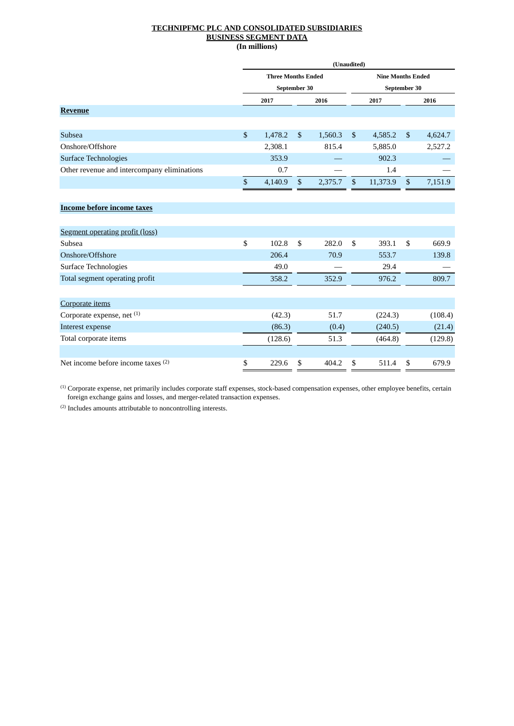#### **TECHNIPFMC PLC AND CONSOLIDATED SUBSIDIARIES BUSINESS SEGMENT DATA (In millions)**

|                                               | (Unaudited)               |         |    |         |                                          |          |                |         |
|-----------------------------------------------|---------------------------|---------|----|---------|------------------------------------------|----------|----------------|---------|
|                                               | <b>Three Months Ended</b> |         |    |         | <b>Nine Months Ended</b><br>September 30 |          |                |         |
|                                               | September 30              |         |    |         |                                          |          |                |         |
|                                               |                           | 2017    |    | 2016    |                                          | 2017     |                | 2016    |
| <b>Revenue</b>                                |                           |         |    |         |                                          |          |                |         |
|                                               |                           |         |    |         |                                          |          |                |         |
| Subsea                                        | $\boldsymbol{\mathsf{S}}$ | 1,478.2 | \$ | 1,560.3 | \$                                       | 4,585.2  | $\mathfrak{S}$ | 4,624.7 |
| Onshore/Offshore                              |                           | 2,308.1 |    | 815.4   |                                          | 5,885.0  |                | 2,527.2 |
| <b>Surface Technologies</b>                   |                           | 353.9   |    |         |                                          | 902.3    |                |         |
| Other revenue and intercompany eliminations   |                           | 0.7     |    |         |                                          | 1.4      |                |         |
|                                               | \$                        | 4,140.9 | \$ | 2,375.7 | $\boldsymbol{\mathsf{S}}$                | 11,373.9 | \$             | 7,151.9 |
|                                               |                           |         |    |         |                                          |          |                |         |
| <b>Income before income taxes</b>             |                           |         |    |         |                                          |          |                |         |
|                                               |                           |         |    |         |                                          |          |                |         |
| Segment operating profit (loss)               |                           |         |    |         |                                          |          |                |         |
| Subsea                                        | \$                        | 102.8   | \$ | 282.0   | \$                                       | 393.1    | \$             | 669.9   |
| Onshore/Offshore                              |                           | 206.4   |    | 70.9    |                                          | 553.7    |                | 139.8   |
| Surface Technologies                          |                           | 49.0    |    |         |                                          | 29.4     |                |         |
| Total segment operating profit                |                           | 358.2   |    | 352.9   |                                          | 976.2    |                | 809.7   |
|                                               |                           |         |    |         |                                          |          |                |         |
| Corporate items                               |                           |         |    |         |                                          |          |                |         |
| Corporate expense, net (1)                    |                           | (42.3)  |    | 51.7    |                                          | (224.3)  |                | (108.4) |
| Interest expense                              |                           | (86.3)  |    | (0.4)   |                                          | (240.5)  |                | (21.4)  |
| Total corporate items                         |                           | (128.6) |    | 51.3    |                                          | (464.8)  |                | (129.8) |
|                                               |                           |         |    |         |                                          |          |                |         |
| Net income before income taxes <sup>(2)</sup> | \$                        | 229.6   | \$ | 404.2   | \$                                       | 511.4    | \$             | 679.9   |

 $<sup>(1)</sup>$  Corporate expense, net primarily includes corporate staff expenses, stock-based compensation expenses, other employee benefits, certain</sup> foreign exchange gains and losses, and merger-related transaction expenses.

(2) Includes amounts attributable to noncontrolling interests.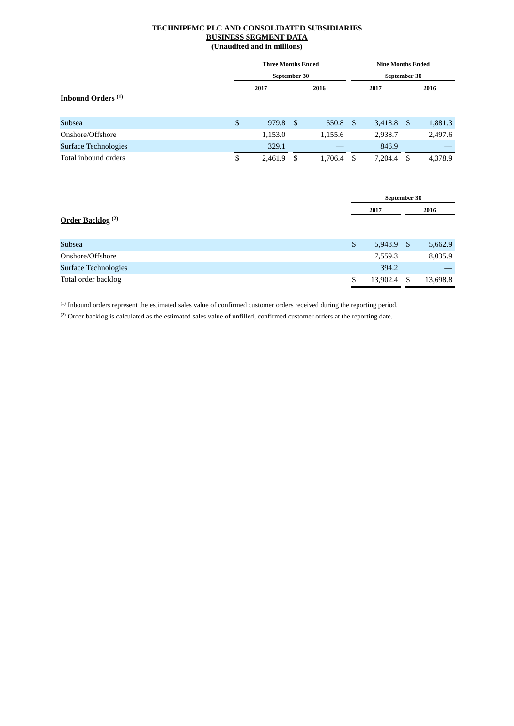#### **TECHNIPFMC PLC AND CONSOLIDATED SUBSIDIARIES BUSINESS SEGMENT DATA (Unaudited and in millions)**

|                               | <b>Three Months Ended</b> |      |         |              | <b>Nine Months Ended</b> |      |         |  |  |
|-------------------------------|---------------------------|------|---------|--------------|--------------------------|------|---------|--|--|
|                               | September 30              |      |         | September 30 |                          |      |         |  |  |
|                               | 2017                      |      | 2016    |              | 2017                     |      | 2016    |  |  |
| Inbound Orders <sup>(1)</sup> |                           |      |         |              |                          |      |         |  |  |
|                               |                           |      |         |              |                          |      |         |  |  |
| <b>Subsea</b>                 | \$<br>979.8               | -\$  | 550.8   | -S           | 3,418.8                  | - \$ | 1,881.3 |  |  |
| Onshore/Offshore              | 1,153.0                   |      | 1,155.6 |              | 2,938.7                  |      | 2,497.6 |  |  |
| Surface Technologies          | 329.1                     |      |         |              | 846.9                    |      |         |  |  |
| Total inbound orders          | \$<br>2,461.9             | - \$ | 1,706.4 | -\$          | 7,204.4                  | -\$  | 4,378.9 |  |  |
|                               |                           |      |         |              |                          |      |         |  |  |

|                              | September 30   |      |          |
|------------------------------|----------------|------|----------|
|                              | 2017           |      | 2016     |
| Order Backlog <sup>(2)</sup> |                |      |          |
| Subsea                       | \$<br>5,948.9  | - \$ | 5,662.9  |
| Onshore/Offshore             | 7,559.3        |      | 8,035.9  |
| <b>Surface Technologies</b>  | 394.2          |      |          |
| Total order backlog          | \$<br>13,902.4 | S    | 13,698.8 |

(1) Inbound orders represent the estimated sales value of confirmed customer orders received during the reporting period.

 $(2)$  Order backlog is calculated as the estimated sales value of unfilled, confirmed customer orders at the reporting date.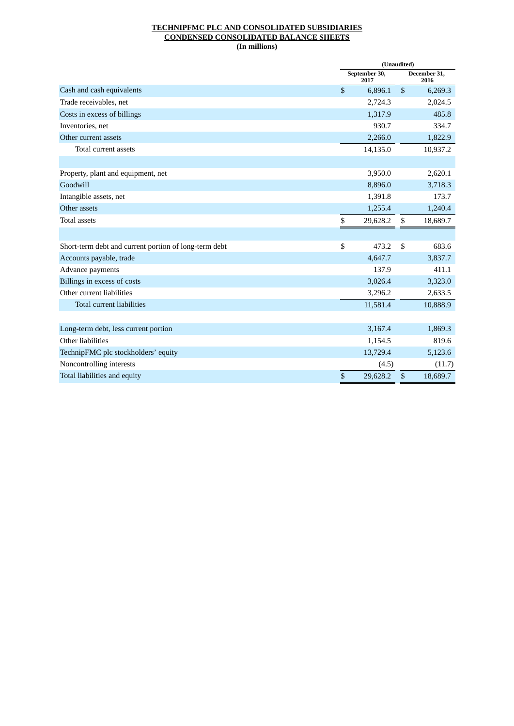#### **TECHNIPFMC PLC AND CONSOLIDATED SUBSIDIARIES CONDENSED CONSOLIDATED BALANCE SHEETS (In millions)**

|                                                       |              | (Unaudited)           |                           |                      |  |  |  |  |
|-------------------------------------------------------|--------------|-----------------------|---------------------------|----------------------|--|--|--|--|
|                                                       |              | September 30,<br>2017 |                           | December 31,<br>2016 |  |  |  |  |
| Cash and cash equivalents                             | $\mathbb{S}$ | 6,896.1               | $\boldsymbol{\mathsf{S}}$ | 6,269.3              |  |  |  |  |
| Trade receivables, net                                |              | 2,724.3               |                           | 2,024.5              |  |  |  |  |
| Costs in excess of billings                           |              | 1,317.9               |                           | 485.8                |  |  |  |  |
| Inventories, net                                      |              | 930.7                 |                           | 334.7                |  |  |  |  |
| Other current assets                                  |              | 2,266.0               |                           | 1,822.9              |  |  |  |  |
| Total current assets                                  |              | 14,135.0              |                           | 10,937.2             |  |  |  |  |
|                                                       |              |                       |                           |                      |  |  |  |  |
| Property, plant and equipment, net                    |              | 3,950.0               |                           | 2,620.1              |  |  |  |  |
| Goodwill                                              |              | 8,896.0               |                           | 3,718.3              |  |  |  |  |
| Intangible assets, net                                |              | 1,391.8               |                           | 173.7                |  |  |  |  |
| Other assets                                          |              | 1,255.4               |                           | 1,240.4              |  |  |  |  |
| <b>Total assets</b>                                   | \$           | 29,628.2              | \$                        | 18,689.7             |  |  |  |  |
|                                                       |              |                       |                           |                      |  |  |  |  |
| Short-term debt and current portion of long-term debt | \$           | 473.2                 | \$                        | 683.6                |  |  |  |  |
| Accounts payable, trade                               |              | 4,647.7               |                           | 3,837.7              |  |  |  |  |
| Advance payments                                      |              | 137.9                 |                           | 411.1                |  |  |  |  |
| Billings in excess of costs                           |              | 3,026.4               |                           | 3,323.0              |  |  |  |  |
| Other current liabilities                             |              | 3,296.2               |                           | 2,633.5              |  |  |  |  |
| <b>Total current liabilities</b>                      |              | 11,581.4              |                           | 10,888.9             |  |  |  |  |
|                                                       |              |                       |                           |                      |  |  |  |  |
| Long-term debt, less current portion                  |              | 3,167.4               |                           | 1,869.3              |  |  |  |  |
| Other liabilities                                     |              | 1,154.5               |                           | 819.6                |  |  |  |  |
| TechnipFMC plc stockholders' equity                   |              | 13,729.4              |                           | 5,123.6              |  |  |  |  |
| Noncontrolling interests                              |              | (4.5)                 |                           | (11.7)               |  |  |  |  |
| Total liabilities and equity                          | \$           | 29,628.2              | \$                        | 18,689.7             |  |  |  |  |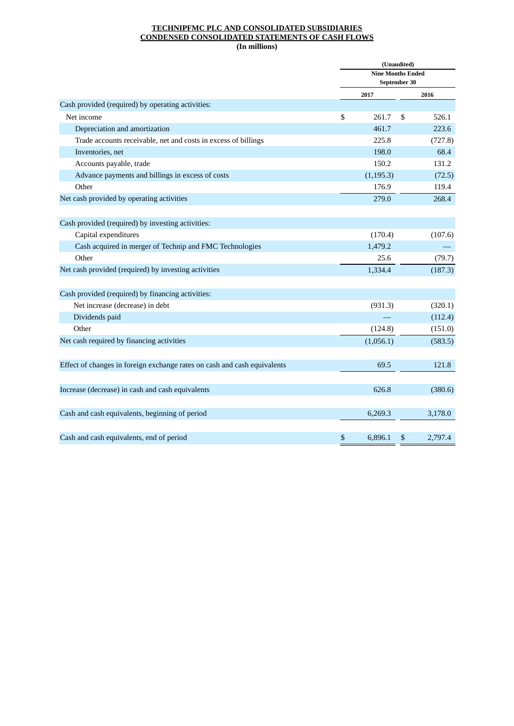#### **TECHNIPFMC PLC AND CONSOLIDATED SUBSIDIARIES CONDENSED CONSOLIDATED STATEMENTS OF CASH FLOWS (In millions)**

|                                                                          | (Unaudited) |                          |    |         |  |  |  |  |  |  |
|--------------------------------------------------------------------------|-------------|--------------------------|----|---------|--|--|--|--|--|--|
|                                                                          |             | <b>Nine Months Ended</b> |    |         |  |  |  |  |  |  |
|                                                                          |             | September 30             |    |         |  |  |  |  |  |  |
|                                                                          |             | 2017                     |    | 2016    |  |  |  |  |  |  |
| Cash provided (required) by operating activities:                        |             |                          |    |         |  |  |  |  |  |  |
| Net income                                                               | \$          | 261.7                    | \$ | 526.1   |  |  |  |  |  |  |
| Depreciation and amortization                                            |             | 461.7                    |    | 223.6   |  |  |  |  |  |  |
| Trade accounts receivable, net and costs in excess of billings           |             | 225.8                    |    | (727.8) |  |  |  |  |  |  |
| Inventories, net                                                         |             | 198.0                    |    | 68.4    |  |  |  |  |  |  |
| Accounts payable, trade                                                  |             | 150.2                    |    | 131.2   |  |  |  |  |  |  |
| Advance payments and billings in excess of costs                         |             | (1, 195.3)               |    | (72.5)  |  |  |  |  |  |  |
| Other                                                                    |             | 176.9                    |    | 119.4   |  |  |  |  |  |  |
| Net cash provided by operating activities                                |             | 279.0                    |    | 268.4   |  |  |  |  |  |  |
|                                                                          |             |                          |    |         |  |  |  |  |  |  |
| Cash provided (required) by investing activities:                        |             |                          |    |         |  |  |  |  |  |  |
| Capital expenditures                                                     |             | (170.4)                  |    | (107.6) |  |  |  |  |  |  |
| Cash acquired in merger of Technip and FMC Technologies                  |             | 1,479.2                  |    |         |  |  |  |  |  |  |
| Other                                                                    |             | 25.6                     |    | (79.7)  |  |  |  |  |  |  |
| Net cash provided (required) by investing activities                     |             | 1,334.4                  |    | (187.3) |  |  |  |  |  |  |
| Cash provided (required) by financing activities:                        |             |                          |    |         |  |  |  |  |  |  |
| Net increase (decrease) in debt                                          |             | (931.3)                  |    | (320.1) |  |  |  |  |  |  |
| Dividends paid                                                           |             |                          |    | (112.4) |  |  |  |  |  |  |
| Other                                                                    |             | (124.8)                  |    | (151.0) |  |  |  |  |  |  |
| Net cash required by financing activities                                |             | (1,056.1)                |    | (583.5) |  |  |  |  |  |  |
|                                                                          |             |                          |    |         |  |  |  |  |  |  |
| Effect of changes in foreign exchange rates on cash and cash equivalents |             | 69.5                     |    | 121.8   |  |  |  |  |  |  |
| Increase (decrease) in cash and cash equivalents                         |             | 626.8                    |    | (380.6) |  |  |  |  |  |  |
| Cash and cash equivalents, beginning of period                           |             | 6,269.3                  |    | 3,178.0 |  |  |  |  |  |  |
| Cash and cash equivalents, end of period                                 | \$          | 6,896.1                  | \$ | 2,797.4 |  |  |  |  |  |  |
|                                                                          |             |                          |    |         |  |  |  |  |  |  |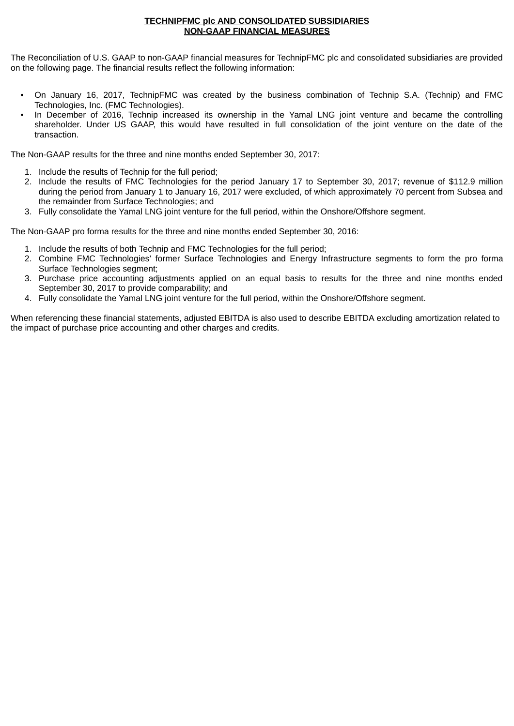#### **TECHNIPFMC plc AND CONSOLIDATED SUBSIDIARIES NON-GAAP FINANCIAL MEASURES**

The Reconciliation of U.S. GAAP to non-GAAP financial measures for TechnipFMC plc and consolidated subsidiaries are provided on the following page. The financial results reflect the following information:

- On January 16, 2017, TechnipFMC was created by the business combination of Technip S.A. (Technip) and FMC Technologies, Inc. (FMC Technologies).
- In December of 2016, Technip increased its ownership in the Yamal LNG joint venture and became the controlling shareholder. Under US GAAP, this would have resulted in full consolidation of the joint venture on the date of the transaction.

The Non-GAAP results for the three and nine months ended September 30, 2017:

- 1. Include the results of Technip for the full period;
- 2. Include the results of FMC Technologies for the period January 17 to September 30, 2017; revenue of \$112.9 million during the period from January 1 to January 16, 2017 were excluded, of which approximately 70 percent from Subsea and the remainder from Surface Technologies; and
- 3. Fully consolidate the Yamal LNG joint venture for the full period, within the Onshore/Offshore segment.

The Non-GAAP pro forma results for the three and nine months ended September 30, 2016:

- 1. Include the results of both Technip and FMC Technologies for the full period;
- 2. Combine FMC Technologies' former Surface Technologies and Energy Infrastructure segments to form the pro forma Surface Technologies segment;
- 3. Purchase price accounting adjustments applied on an equal basis to results for the three and nine months ended September 30, 2017 to provide comparability; and
- 4. Fully consolidate the Yamal LNG joint venture for the full period, within the Onshore/Offshore segment.

When referencing these financial statements, adjusted EBITDA is also used to describe EBITDA excluding amortization related to the impact of purchase price accounting and other charges and credits.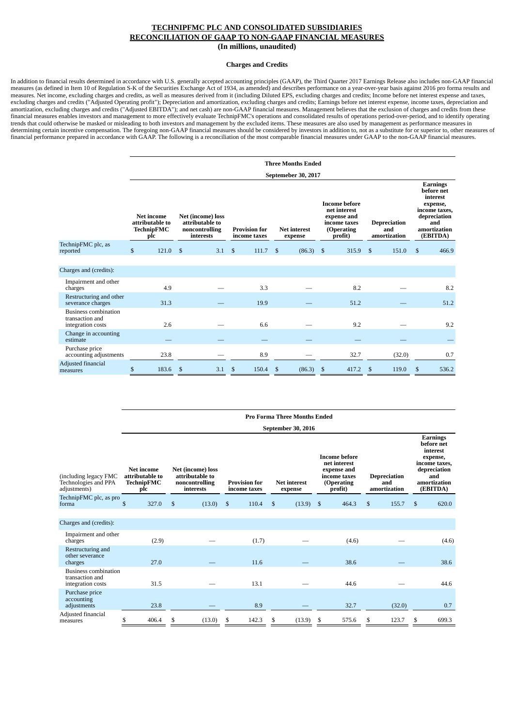#### **Charges and Credits**

In addition to financial results determined in accordance with U.S. generally accepted accounting principles (GAAP), the Third Quarter 2017 Earnings Release also includes non-GAAP financial measures (as defined in Item 10 of Regulation S-K of the Securities Exchange Act of 1934, as amended) and describes performance on a year-over-year basis against 2016 pro forma results and measures. Net income, excluding charges and credits, as well as measures derived from it (including Diluted EPS, excluding charges and credits; Income before net interest expense and taxes, excluding charges and credits ("Adjusted Operating profit"); Depreciation and amortization, excluding charges and credits; Earnings before net interest expense, income taxes, depreciation and amortization, excluding charges and credits ("Adjusted EBITDA"); and net cash) are non-GAAP financial measures. Management believes that the exclusion of charges and credits from these financial measures enables investors and management to more effectively evaluate TechnipFMC's operations and consolidated results of operations period-over-period, and to identify operating trends that could otherwise be masked or misleading to both investors and management by the excluded items. These measures are also used by management as performance measures in determining certain incentive compensation. The foregoing non-GAAP financial measures should be considered by investors in addition to, not as a substitute for or superior to, other measures of financial performance prepared in accordance with GAAP. The following is a reconciliation of the most comparable financial measures under GAAP to the non-GAAP financial measures.

|                                                                     | <b>Three Months Ended</b> |                                                           |                                                                     |     |              |                                      |                                |                     |      |                                                                                              |    |                                            |                                                                                                                           |       |  |
|---------------------------------------------------------------------|---------------------------|-----------------------------------------------------------|---------------------------------------------------------------------|-----|--------------|--------------------------------------|--------------------------------|---------------------|------|----------------------------------------------------------------------------------------------|----|--------------------------------------------|---------------------------------------------------------------------------------------------------------------------------|-------|--|
|                                                                     |                           |                                                           |                                                                     |     |              |                                      |                                | Septemeber 30, 2017 |      |                                                                                              |    |                                            |                                                                                                                           |       |  |
|                                                                     |                           | <b>Net income</b><br>attributable to<br>TechnipFMC<br>plc | Net (income) loss<br>attributable to<br>noncontrolling<br>interests |     |              | <b>Provision for</b><br>income taxes | <b>Net interest</b><br>expense |                     |      | <b>Income before</b><br>net interest<br>expense and<br>income taxes<br>(Operating<br>profit) |    | <b>Depreciation</b><br>and<br>amortization | <b>Earnings</b><br>before net<br>interest<br>expense,<br>income taxes,<br>depreciation<br>and<br>amortization<br>(EBITDA) |       |  |
| TechnipFMC plc, as<br>reported                                      | \$                        | $121.0$ \$                                                |                                                                     | 3.1 | $\mathbb{S}$ | 111.7                                | $\mathbb{S}$                   | (86.3)              | - \$ | 315.9                                                                                        | -S | 151.0                                      | \$                                                                                                                        | 466.9 |  |
|                                                                     |                           |                                                           |                                                                     |     |              |                                      |                                |                     |      |                                                                                              |    |                                            |                                                                                                                           |       |  |
| Charges and (credits):                                              |                           |                                                           |                                                                     |     |              |                                      |                                |                     |      |                                                                                              |    |                                            |                                                                                                                           |       |  |
| Impairment and other<br>charges                                     |                           | 4.9                                                       |                                                                     |     |              | 3.3                                  |                                |                     |      | 8.2                                                                                          |    |                                            |                                                                                                                           | 8.2   |  |
| Restructuring and other<br>severance charges                        |                           | 31.3                                                      |                                                                     |     |              | 19.9                                 |                                |                     |      | 51.2                                                                                         |    |                                            |                                                                                                                           | 51.2  |  |
| <b>Business combination</b><br>transaction and<br>integration costs |                           | 2.6                                                       |                                                                     |     |              | 6.6                                  |                                |                     |      | 9.2                                                                                          |    |                                            |                                                                                                                           | 9.2   |  |
| Change in accounting<br>estimate                                    |                           |                                                           |                                                                     |     |              |                                      |                                |                     |      |                                                                                              |    |                                            |                                                                                                                           |       |  |
| Purchase price<br>accounting adjustments                            |                           | 23.8                                                      |                                                                     |     |              | 8.9                                  |                                |                     |      | 32.7                                                                                         |    | (32.0)                                     |                                                                                                                           | 0.7   |  |
| Adjusted financial<br>measures                                      | \$                        | 183.6                                                     | \$                                                                  | 3.1 | \$           | 150.4                                | \$                             | (86.3)              | \$   | 417.2                                                                                        | S  | 119.0                                      | \$                                                                                                                        | 536.2 |  |

|                                                                     | <b>Pro Forma Three Months Ended</b> |                                                           |    |                                                                     |                                                                        |       |    |                           |     |                                                                                              |    |                                            |                                                                                                                           |       |  |
|---------------------------------------------------------------------|-------------------------------------|-----------------------------------------------------------|----|---------------------------------------------------------------------|------------------------------------------------------------------------|-------|----|---------------------------|-----|----------------------------------------------------------------------------------------------|----|--------------------------------------------|---------------------------------------------------------------------------------------------------------------------------|-------|--|
|                                                                     |                                     |                                                           |    |                                                                     |                                                                        |       |    | <b>September 30, 2016</b> |     |                                                                                              |    |                                            |                                                                                                                           |       |  |
| (including legacy FMC<br>Technologies and PPA<br>adjustments)       |                                     | Net income<br>attributable to<br><b>TechnipFMC</b><br>plc |    | Net (income) loss<br>attributable to<br>noncontrolling<br>interests | <b>Provision for</b><br><b>Net interest</b><br>income taxes<br>expense |       |    |                           |     | <b>Income before</b><br>net interest<br>expense and<br>income taxes<br>(Operating<br>profit) |    | <b>Depreciation</b><br>and<br>amortization | <b>Earnings</b><br>before net<br>interest<br>expense,<br>income taxes,<br>depreciation<br>and<br>amortization<br>(EBITDA) |       |  |
| TechnipFMC plc, as pro<br>forma                                     | \$                                  | 327.0                                                     | \$ | (13.0)                                                              | $\mathfrak{s}$                                                         | 110.4 | \$ | (13.9)                    | -\$ | 464.3                                                                                        | \$ | 155.7                                      | \$                                                                                                                        | 620.0 |  |
|                                                                     |                                     |                                                           |    |                                                                     |                                                                        |       |    |                           |     |                                                                                              |    |                                            |                                                                                                                           |       |  |
| Charges and (credits):                                              |                                     |                                                           |    |                                                                     |                                                                        |       |    |                           |     |                                                                                              |    |                                            |                                                                                                                           |       |  |
| Impairment and other<br>charges                                     |                                     | (2.9)                                                     |    |                                                                     |                                                                        | (1.7) |    |                           |     | (4.6)                                                                                        |    |                                            |                                                                                                                           | (4.6) |  |
| Restructuring and<br>other severance<br>charges                     |                                     | 27.0                                                      |    |                                                                     |                                                                        | 11.6  |    |                           |     | 38.6                                                                                         |    |                                            |                                                                                                                           | 38.6  |  |
| <b>Business combination</b><br>transaction and<br>integration costs |                                     | 31.5                                                      |    |                                                                     |                                                                        | 13.1  |    |                           |     | 44.6                                                                                         |    |                                            |                                                                                                                           | 44.6  |  |
| Purchase price<br>accounting<br>adjustments                         |                                     | 23.8                                                      |    |                                                                     |                                                                        | 8.9   |    |                           |     | 32.7                                                                                         |    | (32.0)                                     |                                                                                                                           | 0.7   |  |
| Adjusted financial<br>measures                                      | \$                                  | 406.4                                                     | S  | (13.0)                                                              | \$                                                                     | 142.3 | \$ | (13.9)                    | S   | 575.6                                                                                        | S  | 123.7                                      | \$                                                                                                                        | 699.3 |  |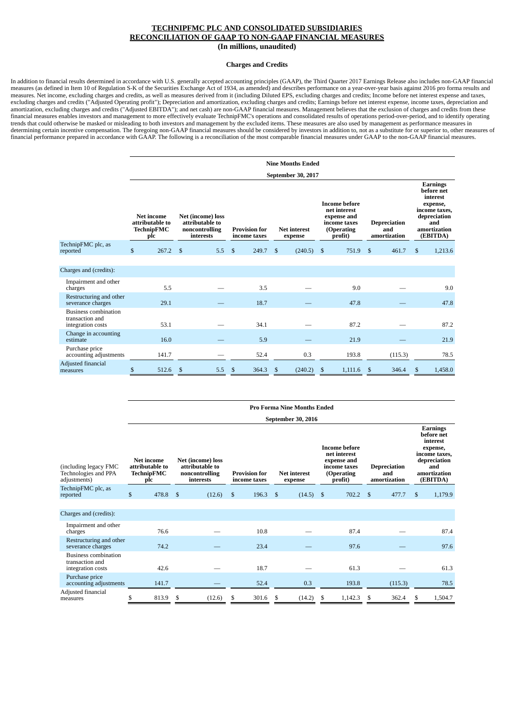#### **Charges and Credits**

In addition to financial results determined in accordance with U.S. generally accepted accounting principles (GAAP), the Third Quarter 2017 Earnings Release also includes non-GAAP financial measures (as defined in Item 10 of Regulation S-K of the Securities Exchange Act of 1934, as amended) and describes performance on a year-over-year basis against 2016 pro forma results and measures. Net income, excluding charges and credits, as well as measures derived from it (including Diluted EPS, excluding charges and credits; Income before net interest expense and taxes, excluding charges and credits ("Adjusted Operating profit"); Depreciation and amortization, excluding charges and credits; Earnings before net interest expense, income taxes, depreciation and amortization, excluding charges and credits ("Adjusted EBITDA"); and net cash) are non-GAAP financial measures. Management believes that the exclusion of charges and credits from these financial measures enables investors and management to more effectively evaluate TechnipFMC's operations and consolidated results of operations period-over-period, and to identify operating trends that could otherwise be masked or misleading to both investors and management by the excluded items. These measures are also used by management as performance measures in determining certain incentive compensation. The foregoing non-GAAP financial measures should be considered by investors in addition to, not as a substitute for or superior to, other measures of financial performance prepared in accordance with GAAP. The following is a reconciliation of the most comparable financial measures under GAAP to the non-GAAP financial measures.

|                                                                     | <b>Nine Months Ended</b>                                                                                                                |            |    |     |              |                                                                        |    |         |      |                                                                                              |    |                                            |                                                                                                                           |         |  |
|---------------------------------------------------------------------|-----------------------------------------------------------------------------------------------------------------------------------------|------------|----|-----|--------------|------------------------------------------------------------------------|----|---------|------|----------------------------------------------------------------------------------------------|----|--------------------------------------------|---------------------------------------------------------------------------------------------------------------------------|---------|--|
|                                                                     | September 30, 2017                                                                                                                      |            |    |     |              |                                                                        |    |         |      |                                                                                              |    |                                            |                                                                                                                           |         |  |
|                                                                     | <b>Net income</b><br><b>Net (income) loss</b><br>attributable to<br>attributable to<br>TechnipFMC<br>noncontrolling<br>interests<br>plc |            |    |     |              | <b>Provision for</b><br><b>Net interest</b><br>income taxes<br>expense |    |         |      | <b>Income before</b><br>net interest<br>expense and<br>income taxes<br>(Operating<br>profit) |    | <b>Depreciation</b><br>and<br>amortization | <b>Earnings</b><br>before net<br>interest<br>expense,<br>income taxes,<br>depreciation<br>and<br>amortization<br>(EBITDA) |         |  |
| TechnipFMC plc, as<br>reported                                      | \$                                                                                                                                      | $267.2$ \$ |    | 5.5 | $\mathbb{S}$ | 249.7                                                                  | \$ | (240.5) | - \$ | 751.9                                                                                        | \$ | 461.7                                      | \$                                                                                                                        | 1,213.6 |  |
|                                                                     |                                                                                                                                         |            |    |     |              |                                                                        |    |         |      |                                                                                              |    |                                            |                                                                                                                           |         |  |
| Charges and (credits):                                              |                                                                                                                                         |            |    |     |              |                                                                        |    |         |      |                                                                                              |    |                                            |                                                                                                                           |         |  |
| Impairment and other<br>charges                                     |                                                                                                                                         | 5.5        |    |     |              | 3.5                                                                    |    |         |      | 9.0                                                                                          |    |                                            |                                                                                                                           | 9.0     |  |
| Restructuring and other<br>severance charges                        |                                                                                                                                         | 29.1       |    |     |              | 18.7                                                                   |    |         |      | 47.8                                                                                         |    |                                            |                                                                                                                           | 47.8    |  |
| <b>Business combination</b><br>transaction and<br>integration costs |                                                                                                                                         | 53.1       |    |     |              | 34.1                                                                   |    |         |      | 87.2                                                                                         |    |                                            |                                                                                                                           | 87.2    |  |
| Change in accounting<br>estimate                                    |                                                                                                                                         | 16.0       |    |     |              | 5.9                                                                    |    |         |      | 21.9                                                                                         |    |                                            |                                                                                                                           | 21.9    |  |
| Purchase price<br>accounting adjustments                            |                                                                                                                                         | 141.7      |    |     |              | 52.4                                                                   |    | 0.3     |      | 193.8                                                                                        |    | (115.3)                                    |                                                                                                                           | 78.5    |  |
| Adjusted financial<br>measures                                      | \$                                                                                                                                      | 512.6      | \$ | 5.5 | \$           | 364.3                                                                  | \$ | (240.2) | \$   | 1,111.6                                                                                      | \$ | 346.4                                      | S                                                                                                                         | 1,458.0 |  |

|                                                                     |              |                                                           |                |                                                                     |                                      |       |                | <b>Pro Forma Nine Months Ended</b> |     |                                                                                              |              |                                            |                                                                                                                           |         |  |
|---------------------------------------------------------------------|--------------|-----------------------------------------------------------|----------------|---------------------------------------------------------------------|--------------------------------------|-------|----------------|------------------------------------|-----|----------------------------------------------------------------------------------------------|--------------|--------------------------------------------|---------------------------------------------------------------------------------------------------------------------------|---------|--|
|                                                                     |              | September 30, 2016                                        |                |                                                                     |                                      |       |                |                                    |     |                                                                                              |              |                                            |                                                                                                                           |         |  |
| (including legacy FMC<br>Technologies and PPA<br>adjustments)       |              | <b>Net income</b><br>attributable to<br>TechnipFMC<br>plc |                | Net (income) loss<br>attributable to<br>noncontrolling<br>interests | <b>Provision for</b><br>income taxes |       |                | Net interest<br>expense            |     | <b>Income before</b><br>net interest<br>expense and<br>income taxes<br>(Operating<br>profit) |              | <b>Depreciation</b><br>and<br>amortization | <b>Earnings</b><br>before net<br>interest<br>expense,<br>income taxes.<br>depreciation<br>and<br>amortization<br>(EBITDA) |         |  |
| TechnipFMC plc, as<br>reported                                      | $\mathbb{S}$ | 478.8                                                     | $\mathfrak{S}$ | (12.6)                                                              | $\mathfrak{s}$                       | 196.3 | $\mathfrak{s}$ | (14.5)                             | -\$ | 702.2                                                                                        | $\mathbb{S}$ | 477.7                                      | \$                                                                                                                        | 1,179.9 |  |
|                                                                     |              |                                                           |                |                                                                     |                                      |       |                |                                    |     |                                                                                              |              |                                            |                                                                                                                           |         |  |
| Charges and (credits):                                              |              |                                                           |                |                                                                     |                                      |       |                |                                    |     |                                                                                              |              |                                            |                                                                                                                           |         |  |
| Impairment and other<br>charges                                     |              | 76.6                                                      |                |                                                                     |                                      | 10.8  |                |                                    |     | 87.4                                                                                         |              |                                            |                                                                                                                           | 87.4    |  |
| Restructuring and other<br>severance charges                        |              | 74.2                                                      |                |                                                                     |                                      | 23.4  |                |                                    |     | 97.6                                                                                         |              |                                            |                                                                                                                           | 97.6    |  |
| <b>Business combination</b><br>transaction and<br>integration costs |              | 42.6                                                      |                |                                                                     |                                      | 18.7  |                |                                    |     | 61.3                                                                                         |              |                                            |                                                                                                                           | 61.3    |  |
| Purchase price<br>accounting adjustments                            |              | 141.7                                                     |                |                                                                     |                                      | 52.4  |                | 0.3                                |     | 193.8                                                                                        |              | (115.3)                                    |                                                                                                                           | 78.5    |  |
| Adjusted financial<br>measures                                      | \$           | 813.9                                                     | \$             | (12.6)                                                              | \$                                   | 301.6 | \$             | (14.2)                             | S   | 1,142.3                                                                                      | S            | 362.4                                      | \$                                                                                                                        | 1,504.7 |  |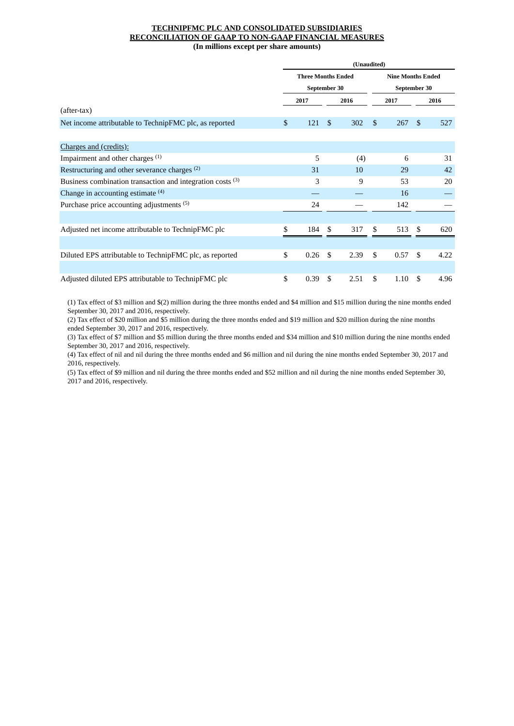#### **TECHNIPFMC PLC AND CONSOLIDATED SUBSIDIARIES RECONCILIATION OF GAAP TO NON-GAAP FINANCIAL MEASURES (In millions except per share amounts)**

|                                                            | (Unaudited) |                                           |     |      |                                          |      |    |      |  |  |
|------------------------------------------------------------|-------------|-------------------------------------------|-----|------|------------------------------------------|------|----|------|--|--|
|                                                            |             | <b>Three Months Ended</b><br>September 30 |     |      | <b>Nine Months Ended</b><br>September 30 |      |    |      |  |  |
|                                                            |             | 2017                                      |     | 2016 |                                          | 2017 |    | 2016 |  |  |
| (after-tax)                                                |             |                                           |     |      |                                          |      |    |      |  |  |
| Net income attributable to TechnipFMC plc, as reported     | \$          | 121                                       | \$. | 302  | \$.                                      | 267  | \$ | 527  |  |  |
|                                                            |             |                                           |     |      |                                          |      |    |      |  |  |
| <b>Charges and (credits):</b>                              |             |                                           |     |      |                                          |      |    |      |  |  |
| Impairment and other charges <sup>(1)</sup>                |             | 5                                         |     | (4)  |                                          | 6    |    | 31   |  |  |
| Restructuring and other severance charges (2)              |             | 31                                        |     | 10   |                                          | 29   |    | 42   |  |  |
| Business combination transaction and integration costs (3) |             | 3                                         |     | 9    |                                          | 53   |    | 20   |  |  |
| Change in accounting estimate $(4)$                        |             |                                           |     |      |                                          | 16   |    |      |  |  |
| Purchase price accounting adjustments (5)                  |             | 24                                        |     |      |                                          | 142  |    |      |  |  |
|                                                            |             |                                           |     |      |                                          |      |    |      |  |  |
| Adjusted net income attributable to TechnipFMC plc         | \$          | 184                                       | \$. | 317  | \$                                       | 513  | \$ | 620  |  |  |
|                                                            |             |                                           |     |      |                                          |      |    |      |  |  |
| Diluted EPS attributable to TechnipFMC plc, as reported    | \$          | 0.26                                      | \$  | 2.39 | \$                                       | 0.57 | \$ | 4.22 |  |  |
|                                                            |             |                                           |     |      |                                          |      |    |      |  |  |
| Adjusted diluted EPS attributable to TechnipFMC plc        | \$          | 0.39                                      | \$  | 2.51 | \$                                       | 1.10 | \$ | 4.96 |  |  |

 (1) Tax effect of \$3 million and \$(2) million during the three months ended and \$4 million and \$15 million during the nine months ended September 30, 2017 and 2016, respectively.

(2) Tax effect of \$20 million and \$5 million during the three months ended and \$19 million and \$20 million during the nine months ended September 30, 2017 and 2016, respectively.

(3) Tax effect of \$7 million and \$5 million during the three months ended and \$34 million and \$10 million during the nine months ended September 30, 2017 and 2016, respectively.

(4) Tax effect of nil and nil during the three months ended and \$6 million and nil during the nine months ended September 30, 2017 and 2016, respectively.

(5) Tax effect of \$9 million and nil during the three months ended and \$52 million and nil during the nine months ended September 30, 2017 and 2016, respectively.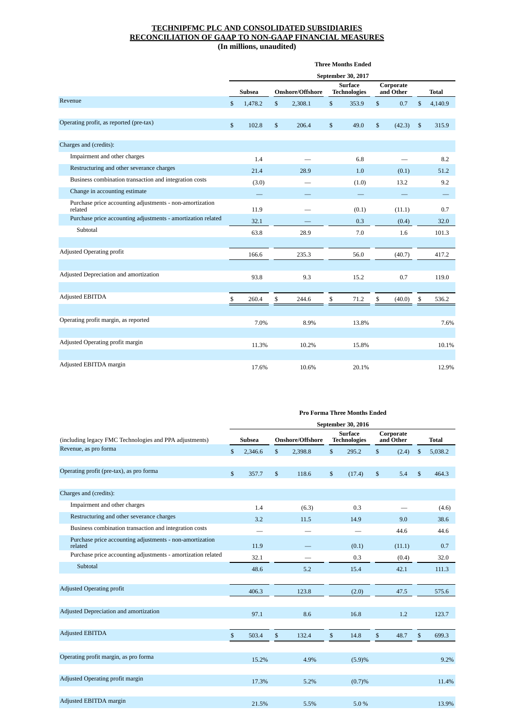|                                                                     | <b>Three Months Ended</b> |               |    |                  |              |                                       |    |                        |              |                                |  |  |
|---------------------------------------------------------------------|---------------------------|---------------|----|------------------|--------------|---------------------------------------|----|------------------------|--------------|--------------------------------|--|--|
|                                                                     |                           |               |    |                  |              | September 30, 2017                    |    |                        |              |                                |  |  |
|                                                                     |                           | <b>Subsea</b> |    | Onshore/Offshore |              | <b>Surface</b><br><b>Technologies</b> |    | Corporate<br>and Other |              | <b>Total</b>                   |  |  |
| Revenue                                                             | \$                        | 1,478.2       | \$ | 2,308.1          | $\mathbb{S}$ | 353.9                                 | \$ | 0.7                    | \$           | 4,140.9                        |  |  |
|                                                                     |                           |               |    |                  |              |                                       |    |                        |              |                                |  |  |
| Operating profit, as reported (pre-tax)                             | $\mathbb{S}$              | 102.8         | \$ | 206.4            | $\mathbb{S}$ | 49.0                                  | \$ | (42.3)                 | $\mathbb{S}$ | 315.9                          |  |  |
|                                                                     |                           |               |    |                  |              |                                       |    |                        |              |                                |  |  |
| Charges and (credits):                                              |                           |               |    |                  |              |                                       |    |                        |              |                                |  |  |
| Impairment and other charges                                        |                           | 1.4           |    |                  |              | 6.8                                   |    |                        |              | 8.2                            |  |  |
| Restructuring and other severance charges                           |                           | 21.4          |    | 28.9             |              | 1.0                                   |    | (0.1)                  |              | 51.2                           |  |  |
| Business combination transaction and integration costs              |                           | (3.0)         |    |                  |              | (1.0)                                 |    | 13.2                   |              | 9.2                            |  |  |
| Change in accounting estimate                                       |                           |               |    |                  |              |                                       |    |                        |              | $\qquad \qquad \longleftarrow$ |  |  |
| Purchase price accounting adjustments - non-amortization<br>related |                           | 11.9          |    |                  |              | (0.1)                                 |    | (11.1)                 |              | 0.7                            |  |  |
| Purchase price accounting adjustments - amortization related        |                           | 32.1          |    |                  |              | 0.3                                   |    | (0.4)                  |              | 32.0                           |  |  |
| Subtotal                                                            |                           | 63.8          |    | 28.9             |              | 7.0                                   |    | 1.6                    |              | 101.3                          |  |  |
|                                                                     |                           |               |    |                  |              |                                       |    |                        |              |                                |  |  |
| <b>Adjusted Operating profit</b>                                    |                           | 166.6         |    | 235.3            |              | 56.0                                  |    | (40.7)                 |              | 417.2                          |  |  |
|                                                                     |                           |               |    |                  |              |                                       |    |                        |              |                                |  |  |
| Adjusted Depreciation and amortization                              |                           | 93.8          |    | 9.3              |              | 15.2                                  |    | 0.7                    |              | 119.0                          |  |  |
|                                                                     |                           |               |    |                  |              |                                       |    |                        |              |                                |  |  |
| <b>Adjusted EBITDA</b>                                              | \$                        | 260.4         | \$ | 244.6            | \$           | 71.2                                  | \$ | (40.0)                 | \$           | 536.2                          |  |  |
|                                                                     |                           |               |    |                  |              |                                       |    |                        |              |                                |  |  |
| Operating profit margin, as reported                                |                           | 7.0%          |    | 8.9%             |              | 13.8%                                 |    |                        |              | 7.6%                           |  |  |
|                                                                     |                           |               |    |                  |              |                                       |    |                        |              |                                |  |  |
| Adjusted Operating profit margin                                    |                           | 11.3%         |    | 10.2%            |              | 15.8%                                 |    |                        |              | 10.1%                          |  |  |
|                                                                     |                           |               |    |                  |              |                                       |    |                        |              |                                |  |  |
| Adjusted EBITDA margin                                              |                           | 17.6%         |    | 10.6%            |              | 20.1%                                 |    |                        |              | 12.9%                          |  |  |

|                                                                     | September 30, 2016 |               |    |                         |    |                                       |    |                        |              |              |  |
|---------------------------------------------------------------------|--------------------|---------------|----|-------------------------|----|---------------------------------------|----|------------------------|--------------|--------------|--|
| (including legacy FMC Technologies and PPA adjustments)             |                    | <b>Subsea</b> |    | <b>Onshore/Offshore</b> |    | <b>Surface</b><br><b>Technologies</b> |    | Corporate<br>and Other |              | <b>Total</b> |  |
| Revenue, as pro forma                                               | \$                 | 2,346.6       | \$ | 2,398.8                 | \$ | 295.2                                 | \$ | (2.4)                  | \$           | 5,038.2      |  |
|                                                                     |                    |               |    |                         |    |                                       |    |                        |              |              |  |
| Operating profit (pre-tax), as pro forma                            | $\mathbb{S}$       | 357.7         | \$ | 118.6                   | \$ | (17.4)                                | \$ | 5.4                    | $\mathbb{S}$ | 464.3        |  |
| Charges and (credits):                                              |                    |               |    |                         |    |                                       |    |                        |              |              |  |
| Impairment and other charges                                        |                    | 1.4           |    | (6.3)                   |    | 0.3                                   |    |                        |              | (4.6)        |  |
| Restructuring and other severance charges                           |                    | 3.2           |    | 11.5                    |    | 14.9                                  |    | 9.0                    |              | 38.6         |  |
| Business combination transaction and integration costs              |                    |               |    |                         |    |                                       |    | 44.6                   |              | 44.6         |  |
| Purchase price accounting adjustments - non-amortization<br>related |                    | 11.9          |    |                         |    | (0.1)                                 |    | (11.1)                 |              | 0.7          |  |
| Purchase price accounting adjustments - amortization related        |                    | 32.1          |    |                         |    | 0.3                                   |    | (0.4)                  |              | 32.0         |  |
| Subtotal                                                            |                    | 48.6          |    | 5.2                     |    | 15.4                                  |    | 42.1                   |              | 111.3        |  |
|                                                                     |                    |               |    |                         |    |                                       |    |                        |              |              |  |
| <b>Adjusted Operating profit</b>                                    |                    | 406.3         |    | 123.8                   |    | (2.0)                                 |    | 47.5                   |              | 575.6        |  |
| Adjusted Depreciation and amortization                              |                    | 97.1          |    | 8.6                     |    | 16.8                                  |    | 1.2                    |              | 123.7        |  |
| <b>Adjusted EBITDA</b>                                              | \$                 | 503.4         | \$ | 132.4                   | \$ | 14.8                                  | \$ | 48.7                   | \$           | 699.3        |  |
| Operating profit margin, as pro forma                               |                    | 15.2%         |    | 4.9%                    |    | (5.9)%                                |    |                        |              | 9.2%         |  |
| Adjusted Operating profit margin                                    |                    | 17.3%         |    | 5.2%                    |    | (0.7)%                                |    |                        |              | 11.4%        |  |
| Adjusted EBITDA margin                                              |                    | 21.5%         |    | 5.5%                    |    | 5.0%                                  |    |                        |              | 13.9%        |  |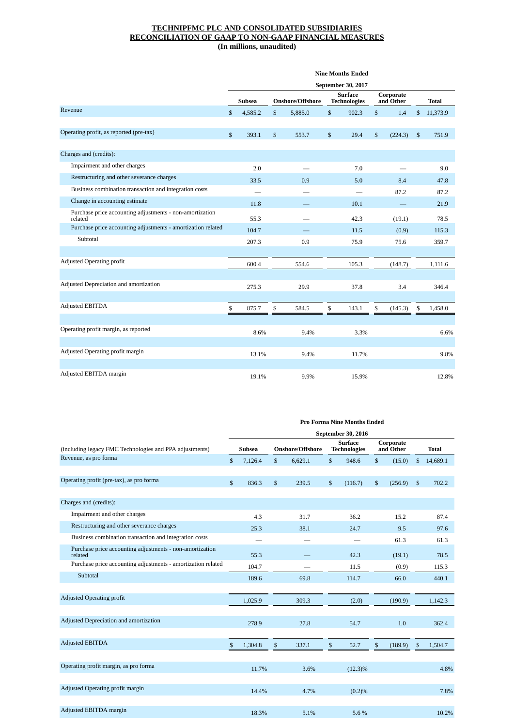|                                                                         | <b>Nine Months Ended</b> |         |    |                  |                                       |       |                        |         |              |          |
|-------------------------------------------------------------------------|--------------------------|---------|----|------------------|---------------------------------------|-------|------------------------|---------|--------------|----------|
|                                                                         | September 30, 2017       |         |    |                  |                                       |       |                        |         |              |          |
|                                                                         | <b>Subsea</b>            |         |    | Onshore/Offshore | <b>Surface</b><br><b>Technologies</b> |       | Corporate<br>and Other |         |              | Total    |
| Revenue                                                                 | \$                       | 4,585.2 | \$ | 5,885.0          | \$                                    | 902.3 | $\mathbb{S}$           | 1.4     | \$           | 11,373.9 |
|                                                                         |                          |         |    |                  |                                       |       |                        |         |              |          |
| Operating profit, as reported (pre-tax)                                 | \$                       | 393.1   | \$ | 553.7            | $\mathbb{S}$                          | 29.4  | $\mathbb{S}$           | (224.3) | $\mathbb{S}$ | 751.9    |
|                                                                         |                          |         |    |                  |                                       |       |                        |         |              |          |
| Charges and (credits):                                                  |                          |         |    |                  |                                       |       |                        |         |              |          |
| Impairment and other charges                                            |                          | 2.0     |    |                  |                                       | 7.0   |                        |         |              | 9.0      |
| Restructuring and other severance charges                               |                          | 33.5    |    | 0.9              |                                       | 5.0   |                        | 8.4     |              | 47.8     |
| Business combination transaction and integration costs                  |                          |         |    |                  |                                       |       |                        | 87.2    |              | 87.2     |
| Change in accounting estimate                                           |                          | 11.8    |    |                  |                                       | 10.1  |                        |         |              | 21.9     |
| Purchase price accounting adjustments - non-amortization                |                          |         |    |                  |                                       |       |                        |         |              |          |
| related<br>Purchase price accounting adjustments - amortization related |                          | 55.3    |    |                  |                                       | 42.3  |                        | (19.1)  |              | 78.5     |
|                                                                         |                          | 104.7   |    |                  |                                       | 11.5  |                        | (0.9)   |              | 115.3    |
| Subtotal                                                                |                          | 207.3   |    | 0.9              |                                       | 75.9  |                        | 75.6    |              | 359.7    |
|                                                                         |                          |         |    |                  |                                       |       |                        |         |              |          |
| <b>Adjusted Operating profit</b>                                        |                          | 600.4   |    | 554.6            |                                       | 105.3 |                        | (148.7) |              | 1,111.6  |
|                                                                         |                          |         |    |                  |                                       |       |                        |         |              |          |
| Adjusted Depreciation and amortization                                  |                          | 275.3   |    | 29.9             |                                       | 37.8  |                        | 3.4     |              | 346.4    |
|                                                                         |                          |         |    |                  |                                       |       |                        |         |              |          |
| <b>Adjusted EBITDA</b>                                                  | \$                       | 875.7   | \$ | 584.5            | \$                                    | 143.1 | \$                     | (145.3) | \$           | 1,458.0  |
|                                                                         |                          |         |    |                  |                                       |       |                        |         |              |          |
| Operating profit margin, as reported                                    |                          | 8.6%    |    | 9.4%             |                                       | 3.3%  |                        |         |              | 6.6%     |
|                                                                         |                          |         |    |                  |                                       |       |                        |         |              |          |
| Adjusted Operating profit margin                                        |                          | 13.1%   |    | 9.4%             |                                       | 11.7% |                        |         |              | 9.8%     |
|                                                                         |                          |         |    |                  |                                       |       |                        |         |              |          |
| Adjusted EBITDA margin                                                  |                          | 19.1%   |    | 9.9%             |                                       | 15.9% |                        |         |              | 12.8%    |
|                                                                         |                          |         |    |                  |                                       |       |                        |         |              |          |

|                                                                     | <b>Pro Forma Nine Months Ended</b><br>September 30, 2016 |               |    |                         |              |                                       |    |                        |                |              |  |  |
|---------------------------------------------------------------------|----------------------------------------------------------|---------------|----|-------------------------|--------------|---------------------------------------|----|------------------------|----------------|--------------|--|--|
|                                                                     |                                                          |               |    |                         |              |                                       |    |                        |                |              |  |  |
| (including legacy FMC Technologies and PPA adjustments)             |                                                          | <b>Subsea</b> |    | <b>Onshore/Offshore</b> |              | <b>Surface</b><br><b>Technologies</b> |    | Corporate<br>and Other |                | <b>Total</b> |  |  |
| Revenue, as pro forma                                               | \$                                                       | 7,126.4       | \$ | 6,629.1                 | $\mathbb{S}$ | 948.6                                 | \$ | (15.0)                 | \$             | 14,689.1     |  |  |
|                                                                     |                                                          |               |    |                         |              |                                       |    |                        |                |              |  |  |
| Operating profit (pre-tax), as pro forma                            | $\mathbb{S}$                                             | 836.3         | \$ | 239.5                   | $\mathbb{S}$ | (116.7)                               | \$ | (256.9)                | $\mathfrak{S}$ | 702.2        |  |  |
|                                                                     |                                                          |               |    |                         |              |                                       |    |                        |                |              |  |  |
| Charges and (credits):                                              |                                                          |               |    |                         |              |                                       |    |                        |                |              |  |  |
| Impairment and other charges                                        |                                                          | 4.3           |    | 31.7                    |              | 36.2                                  |    | 15.2                   |                | 87.4         |  |  |
| Restructuring and other severance charges                           |                                                          | 25.3          |    | 38.1                    |              | 24.7                                  |    | 9.5                    |                | 97.6         |  |  |
| Business combination transaction and integration costs              |                                                          |               |    |                         |              |                                       |    | 61.3                   |                | 61.3         |  |  |
| Purchase price accounting adjustments - non-amortization<br>related |                                                          | 55.3          |    |                         |              | 42.3                                  |    | (19.1)                 |                | 78.5         |  |  |
| Purchase price accounting adjustments - amortization related        |                                                          | 104.7         |    |                         |              | 11.5                                  |    | (0.9)                  |                | 115.3        |  |  |
| Subtotal                                                            |                                                          | 189.6         |    | 69.8                    |              | 114.7                                 |    | 66.0                   |                | 440.1        |  |  |
|                                                                     |                                                          |               |    |                         |              |                                       |    |                        |                |              |  |  |
| <b>Adjusted Operating profit</b>                                    |                                                          | 1,025.9       |    | 309.3                   |              | (2.0)                                 |    | (190.9)                |                | 1,142.3      |  |  |
|                                                                     |                                                          |               |    |                         |              |                                       |    |                        |                |              |  |  |
| Adjusted Depreciation and amortization                              |                                                          | 278.9         |    | 27.8                    |              | 54.7                                  |    | 1.0                    |                | 362.4        |  |  |
|                                                                     |                                                          |               |    |                         |              |                                       |    |                        |                |              |  |  |
| <b>Adjusted EBITDA</b>                                              | $\mathfrak{s}$                                           | 1,304.8       | \$ | 337.1                   | \$           | 52.7                                  | \$ | (189.9)                | \$             | 1,504.7      |  |  |
|                                                                     |                                                          |               |    |                         |              |                                       |    |                        |                |              |  |  |
| Operating profit margin, as pro forma                               |                                                          | 11.7%         |    | 3.6%                    |              | $(12.3)\%$                            |    |                        |                | 4.8%         |  |  |
|                                                                     |                                                          |               |    |                         |              |                                       |    |                        |                |              |  |  |
| Adjusted Operating profit margin                                    |                                                          | 14.4%         |    | 4.7%                    |              | (0.2)%                                |    |                        |                | 7.8%         |  |  |
|                                                                     |                                                          |               |    |                         |              |                                       |    |                        |                |              |  |  |
| Adjusted EBITDA margin                                              |                                                          | 18.3%         |    | 5.1%                    |              | 5.6%                                  |    |                        |                | 10.2%        |  |  |
|                                                                     |                                                          |               |    |                         |              |                                       |    |                        |                |              |  |  |